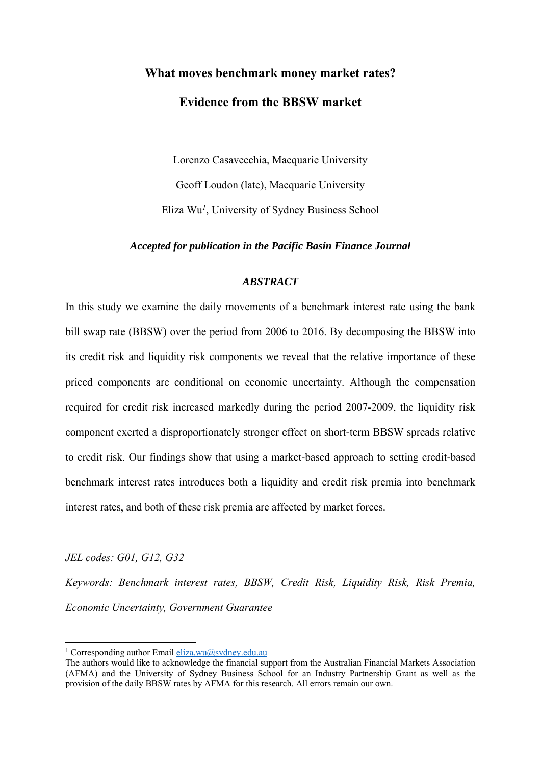# **What moves benchmark money market rates? Evidence from the BBSW market**

Lorenzo Casavecchia, Macquarie University Geoff Loudon (late), Macquarie University Eliza Wu*<sup>1</sup>*, University of Sydney Business School

*Accepted for publication in the Pacific Basin Finance Journal* 

# *ABSTRACT*

In this study we examine the daily movements of a benchmark interest rate using the bank bill swap rate (BBSW) over the period from 2006 to 2016. By decomposing the BBSW into its credit risk and liquidity risk components we reveal that the relative importance of these priced components are conditional on economic uncertainty. Although the compensation required for credit risk increased markedly during the period 2007-2009, the liquidity risk component exerted a disproportionately stronger effect on short-term BBSW spreads relative to credit risk. Our findings show that using a market-based approach to setting credit-based benchmark interest rates introduces both a liquidity and credit risk premia into benchmark interest rates, and both of these risk premia are affected by market forces.

*JEL codes: G01, G12, G32* 

<u>.</u>

*Keywords: Benchmark interest rates, BBSW, Credit Risk, Liquidity Risk, Risk Premia, Economic Uncertainty, Government Guarantee* 

<sup>&</sup>lt;sup>1</sup> Corresponding author Email eliza.wu@sydney.edu.au

The authors would like to acknowledge the financial support from the Australian Financial Markets Association (AFMA) and the University of Sydney Business School for an Industry Partnership Grant as well as the provision of the daily BBSW rates by AFMA for this research. All errors remain our own.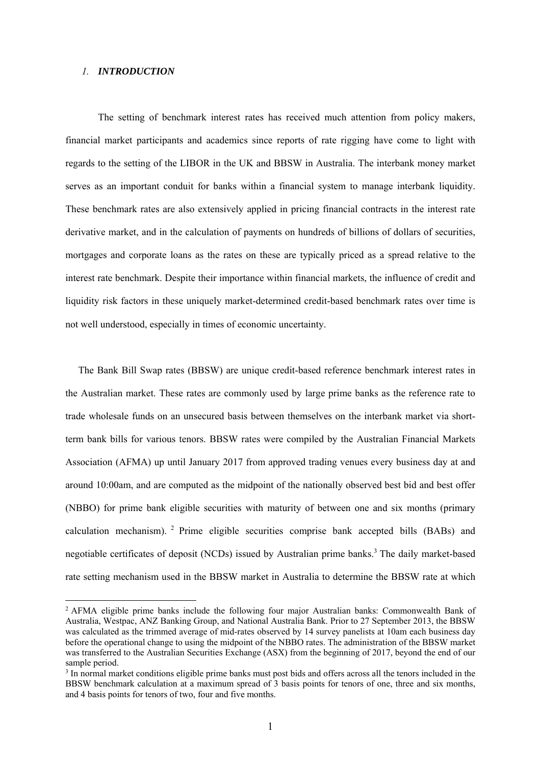#### *1. INTRODUCTION*

1

The setting of benchmark interest rates has received much attention from policy makers, financial market participants and academics since reports of rate rigging have come to light with regards to the setting of the LIBOR in the UK and BBSW in Australia. The interbank money market serves as an important conduit for banks within a financial system to manage interbank liquidity. These benchmark rates are also extensively applied in pricing financial contracts in the interest rate derivative market, and in the calculation of payments on hundreds of billions of dollars of securities, mortgages and corporate loans as the rates on these are typically priced as a spread relative to the interest rate benchmark. Despite their importance within financial markets, the influence of credit and liquidity risk factors in these uniquely market-determined credit-based benchmark rates over time is not well understood, especially in times of economic uncertainty.

The Bank Bill Swap rates (BBSW) are unique credit-based reference benchmark interest rates in the Australian market. These rates are commonly used by large prime banks as the reference rate to trade wholesale funds on an unsecured basis between themselves on the interbank market via shortterm bank bills for various tenors. BBSW rates were compiled by the Australian Financial Markets Association (AFMA) up until January 2017 from approved trading venues every business day at and around 10:00am, and are computed as the midpoint of the nationally observed best bid and best offer (NBBO) for prime bank eligible securities with maturity of between one and six months (primary calculation mechanism). 2 Prime eligible securities comprise bank accepted bills (BABs) and negotiable certificates of deposit (NCDs) issued by Australian prime banks.<sup>3</sup> The daily market-based rate setting mechanism used in the BBSW market in Australia to determine the BBSW rate at which

<sup>&</sup>lt;sup>2</sup> AFMA eligible prime banks include the following four major Australian banks: Commonwealth Bank of Australia, Westpac, ANZ Banking Group, and National Australia Bank. Prior to 27 September 2013, the BBSW was calculated as the trimmed average of mid-rates observed by 14 survey panelists at 10am each business day before the operational change to using the midpoint of the NBBO rates. The administration of the BBSW market was transferred to the Australian Securities Exchange (ASX) from the beginning of 2017, beyond the end of our sample period.

<sup>&</sup>lt;sup>3</sup> In normal market conditions eligible prime banks must post bids and offers across all the tenors included in the BBSW benchmark calculation at a maximum spread of 3 basis points for tenors of one, three and six months, and 4 basis points for tenors of two, four and five months.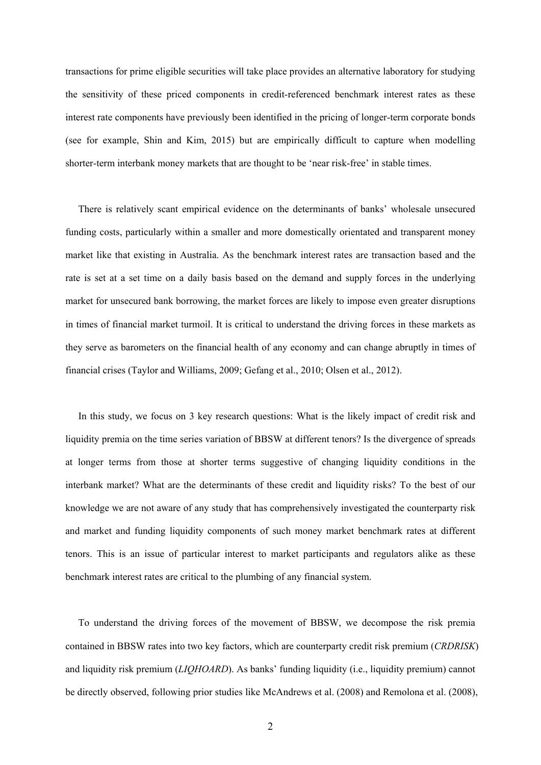transactions for prime eligible securities will take place provides an alternative laboratory for studying the sensitivity of these priced components in credit-referenced benchmark interest rates as these interest rate components have previously been identified in the pricing of longer-term corporate bonds (see for example, Shin and Kim, 2015) but are empirically difficult to capture when modelling shorter-term interbank money markets that are thought to be 'near risk-free' in stable times.

There is relatively scant empirical evidence on the determinants of banks' wholesale unsecured funding costs, particularly within a smaller and more domestically orientated and transparent money market like that existing in Australia. As the benchmark interest rates are transaction based and the rate is set at a set time on a daily basis based on the demand and supply forces in the underlying market for unsecured bank borrowing, the market forces are likely to impose even greater disruptions in times of financial market turmoil. It is critical to understand the driving forces in these markets as they serve as barometers on the financial health of any economy and can change abruptly in times of financial crises (Taylor and Williams, 2009; Gefang et al., 2010; Olsen et al., 2012).

In this study, we focus on 3 key research questions: What is the likely impact of credit risk and liquidity premia on the time series variation of BBSW at different tenors? Is the divergence of spreads at longer terms from those at shorter terms suggestive of changing liquidity conditions in the interbank market? What are the determinants of these credit and liquidity risks? To the best of our knowledge we are not aware of any study that has comprehensively investigated the counterparty risk and market and funding liquidity components of such money market benchmark rates at different tenors. This is an issue of particular interest to market participants and regulators alike as these benchmark interest rates are critical to the plumbing of any financial system.

To understand the driving forces of the movement of BBSW, we decompose the risk premia contained in BBSW rates into two key factors, which are counterparty credit risk premium (*CRDRISK*) and liquidity risk premium (*LIQHOARD*). As banks' funding liquidity (i.e., liquidity premium) cannot be directly observed, following prior studies like McAndrews et al. (2008) and Remolona et al. (2008),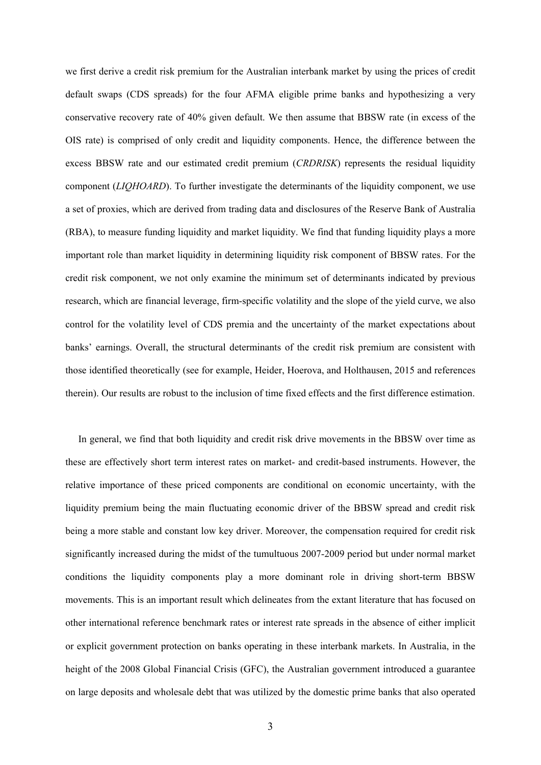we first derive a credit risk premium for the Australian interbank market by using the prices of credit default swaps (CDS spreads) for the four AFMA eligible prime banks and hypothesizing a very conservative recovery rate of 40% given default. We then assume that BBSW rate (in excess of the OIS rate) is comprised of only credit and liquidity components. Hence, the difference between the excess BBSW rate and our estimated credit premium (*CRDRISK*) represents the residual liquidity component (*LIQHOARD*). To further investigate the determinants of the liquidity component, we use a set of proxies, which are derived from trading data and disclosures of the Reserve Bank of Australia (RBA), to measure funding liquidity and market liquidity. We find that funding liquidity plays a more important role than market liquidity in determining liquidity risk component of BBSW rates. For the credit risk component, we not only examine the minimum set of determinants indicated by previous research, which are financial leverage, firm-specific volatility and the slope of the yield curve, we also control for the volatility level of CDS premia and the uncertainty of the market expectations about banks' earnings. Overall, the structural determinants of the credit risk premium are consistent with those identified theoretically (see for example, Heider, Hoerova, and Holthausen, 2015 and references therein). Our results are robust to the inclusion of time fixed effects and the first difference estimation.

In general, we find that both liquidity and credit risk drive movements in the BBSW over time as these are effectively short term interest rates on market- and credit-based instruments. However, the relative importance of these priced components are conditional on economic uncertainty, with the liquidity premium being the main fluctuating economic driver of the BBSW spread and credit risk being a more stable and constant low key driver. Moreover, the compensation required for credit risk significantly increased during the midst of the tumultuous 2007-2009 period but under normal market conditions the liquidity components play a more dominant role in driving short-term BBSW movements. This is an important result which delineates from the extant literature that has focused on other international reference benchmark rates or interest rate spreads in the absence of either implicit or explicit government protection on banks operating in these interbank markets. In Australia, in the height of the 2008 Global Financial Crisis (GFC), the Australian government introduced a guarantee on large deposits and wholesale debt that was utilized by the domestic prime banks that also operated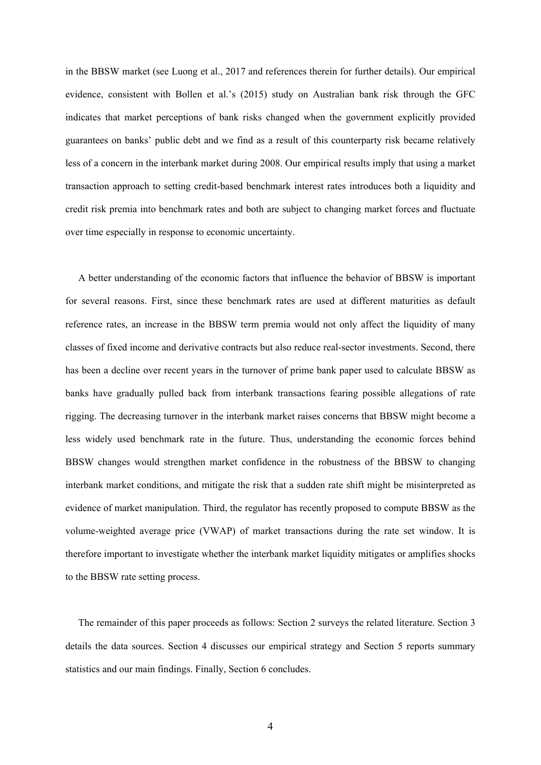in the BBSW market (see Luong et al., 2017 and references therein for further details). Our empirical evidence, consistent with Bollen et al.'s (2015) study on Australian bank risk through the GFC indicates that market perceptions of bank risks changed when the government explicitly provided guarantees on banks' public debt and we find as a result of this counterparty risk became relatively less of a concern in the interbank market during 2008. Our empirical results imply that using a market transaction approach to setting credit-based benchmark interest rates introduces both a liquidity and credit risk premia into benchmark rates and both are subject to changing market forces and fluctuate over time especially in response to economic uncertainty.

A better understanding of the economic factors that influence the behavior of BBSW is important for several reasons. First, since these benchmark rates are used at different maturities as default reference rates, an increase in the BBSW term premia would not only affect the liquidity of many classes of fixed income and derivative contracts but also reduce real-sector investments. Second, there has been a decline over recent years in the turnover of prime bank paper used to calculate BBSW as banks have gradually pulled back from interbank transactions fearing possible allegations of rate rigging. The decreasing turnover in the interbank market raises concerns that BBSW might become a less widely used benchmark rate in the future. Thus, understanding the economic forces behind BBSW changes would strengthen market confidence in the robustness of the BBSW to changing interbank market conditions, and mitigate the risk that a sudden rate shift might be misinterpreted as evidence of market manipulation. Third, the regulator has recently proposed to compute BBSW as the volume-weighted average price (VWAP) of market transactions during the rate set window. It is therefore important to investigate whether the interbank market liquidity mitigates or amplifies shocks to the BBSW rate setting process.

The remainder of this paper proceeds as follows: Section 2 surveys the related literature. Section 3 details the data sources. Section 4 discusses our empirical strategy and Section 5 reports summary statistics and our main findings. Finally, Section 6 concludes.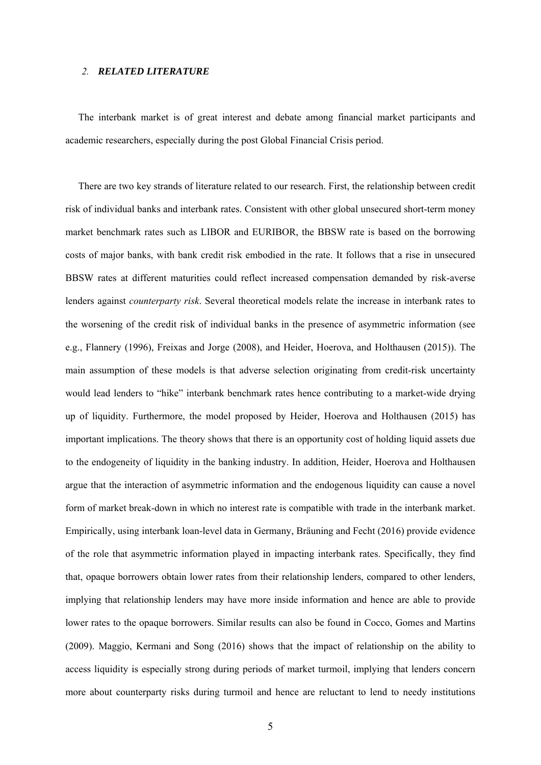#### *2. RELATED LITERATURE*

The interbank market is of great interest and debate among financial market participants and academic researchers, especially during the post Global Financial Crisis period.

There are two key strands of literature related to our research. First, the relationship between credit risk of individual banks and interbank rates. Consistent with other global unsecured short-term money market benchmark rates such as LIBOR and EURIBOR, the BBSW rate is based on the borrowing costs of major banks, with bank credit risk embodied in the rate. It follows that a rise in unsecured BBSW rates at different maturities could reflect increased compensation demanded by risk-averse lenders against *counterparty risk*. Several theoretical models relate the increase in interbank rates to the worsening of the credit risk of individual banks in the presence of asymmetric information (see e.g., Flannery (1996), Freixas and Jorge (2008), and Heider, Hoerova, and Holthausen (2015)). The main assumption of these models is that adverse selection originating from credit-risk uncertainty would lead lenders to "hike" interbank benchmark rates hence contributing to a market-wide drying up of liquidity. Furthermore, the model proposed by Heider, Hoerova and Holthausen (2015) has important implications. The theory shows that there is an opportunity cost of holding liquid assets due to the endogeneity of liquidity in the banking industry. In addition, Heider, Hoerova and Holthausen argue that the interaction of asymmetric information and the endogenous liquidity can cause a novel form of market break-down in which no interest rate is compatible with trade in the interbank market. Empirically, using interbank loan-level data in Germany, Bräuning and Fecht (2016) provide evidence of the role that asymmetric information played in impacting interbank rates. Specifically, they find that, opaque borrowers obtain lower rates from their relationship lenders, compared to other lenders, implying that relationship lenders may have more inside information and hence are able to provide lower rates to the opaque borrowers. Similar results can also be found in Cocco, Gomes and Martins (2009). Maggio, Kermani and Song (2016) shows that the impact of relationship on the ability to access liquidity is especially strong during periods of market turmoil, implying that lenders concern more about counterparty risks during turmoil and hence are reluctant to lend to needy institutions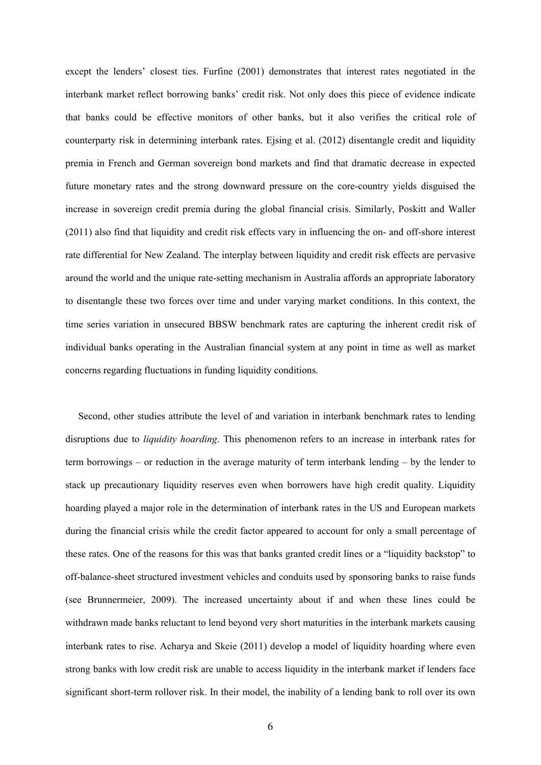except the lenders' closest ties. Furfine (2001) demonstrates that interest rates negotiated in the interbank market reflect borrowing banks' credit risk. Not only does this piece of evidence indicate that banks could be effective monitors of other banks, but it also verifies the critical role of counterparty risk in determining interbank rates. Ejsing et al. (2012) disentangle credit and liquidity premia in French and German sovereign bond markets and find that dramatic decrease in expected future monetary rates and the strong downward pressure on the core-country yields disguised the increase in sovereign credit premia during the global financial crisis. Similarly, Poskitt and Waller (2011) also find that liquidity and credit risk effects vary in influencing the on- and off-shore interest rate differential for New Zealand. The interplay between liquidity and credit risk effects are pervasive around the world and the unique rate-setting mechanism in Australia affords an appropriate laboratory to disentangle these two forces over time and under varying market conditions. In this context, the time series variation in unsecured BBSW benchmark rates are capturing the inherent credit risk of individual banks operating in the Australian financial system at any point in time as well as market concerns regarding fluctuations in funding liquidity conditions.

Second, other studies attribute the level of and variation in interbank benchmark rates to lending disruptions due to *liquidity hoarding*. This phenomenon refers to an increase in interbank rates for term borrowings – or reduction in the average maturity of term interbank lending – by the lender to stack up precautionary liquidity reserves even when borrowers have high credit quality. Liquidity hoarding played a major role in the determination of interbank rates in the US and European markets during the financial crisis while the credit factor appeared to account for only a small percentage of these rates. One of the reasons for this was that banks granted credit lines or a "liquidity backstop" to off-balance-sheet structured investment vehicles and conduits used by sponsoring banks to raise funds (see Brunnermeier, 2009). The increased uncertainty about if and when these lines could be withdrawn made banks reluctant to lend beyond very short maturities in the interbank markets causing interbank rates to rise. Acharya and Skeie (2011) develop a model of liquidity hoarding where even strong banks with low credit risk are unable to access liquidity in the interbank market if lenders face significant short-term rollover risk. In their model, the inability of a lending bank to roll over its own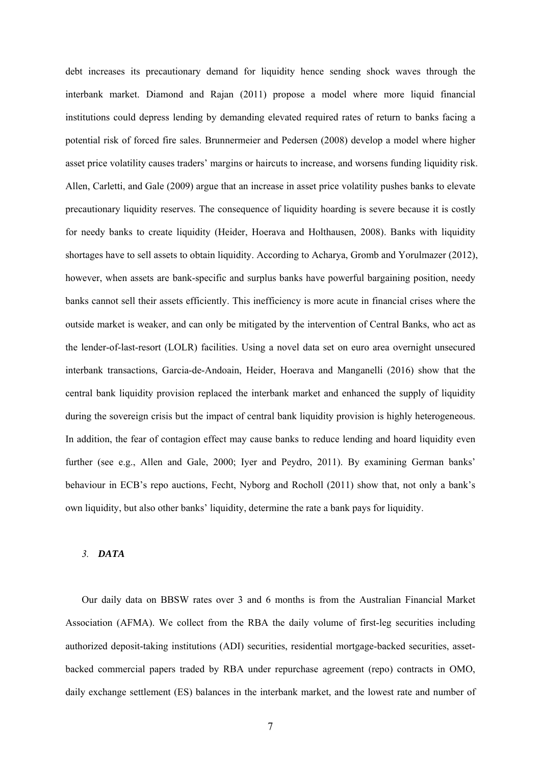debt increases its precautionary demand for liquidity hence sending shock waves through the interbank market. Diamond and Rajan (2011) propose a model where more liquid financial institutions could depress lending by demanding elevated required rates of return to banks facing a potential risk of forced fire sales. Brunnermeier and Pedersen (2008) develop a model where higher asset price volatility causes traders' margins or haircuts to increase, and worsens funding liquidity risk. Allen, Carletti, and Gale (2009) argue that an increase in asset price volatility pushes banks to elevate precautionary liquidity reserves. The consequence of liquidity hoarding is severe because it is costly for needy banks to create liquidity (Heider, Hoerava and Holthausen, 2008). Banks with liquidity shortages have to sell assets to obtain liquidity. According to Acharya, Gromb and Yorulmazer (2012), however, when assets are bank-specific and surplus banks have powerful bargaining position, needy banks cannot sell their assets efficiently. This inefficiency is more acute in financial crises where the outside market is weaker, and can only be mitigated by the intervention of Central Banks, who act as the lender-of-last-resort (LOLR) facilities. Using a novel data set on euro area overnight unsecured interbank transactions, Garcia-de-Andoain, Heider, Hoerava and Manganelli (2016) show that the central bank liquidity provision replaced the interbank market and enhanced the supply of liquidity during the sovereign crisis but the impact of central bank liquidity provision is highly heterogeneous. In addition, the fear of contagion effect may cause banks to reduce lending and hoard liquidity even further (see e.g., Allen and Gale, 2000; Iyer and Peydro, 2011). By examining German banks' behaviour in ECB's repo auctions, Fecht, Nyborg and Rocholl (2011) show that, not only a bank's own liquidity, but also other banks' liquidity, determine the rate a bank pays for liquidity.

## *3. DATA*

Our daily data on BBSW rates over 3 and 6 months is from the Australian Financial Market Association (AFMA). We collect from the RBA the daily volume of first-leg securities including authorized deposit-taking institutions (ADI) securities, residential mortgage-backed securities, assetbacked commercial papers traded by RBA under repurchase agreement (repo) contracts in OMO, daily exchange settlement (ES) balances in the interbank market, and the lowest rate and number of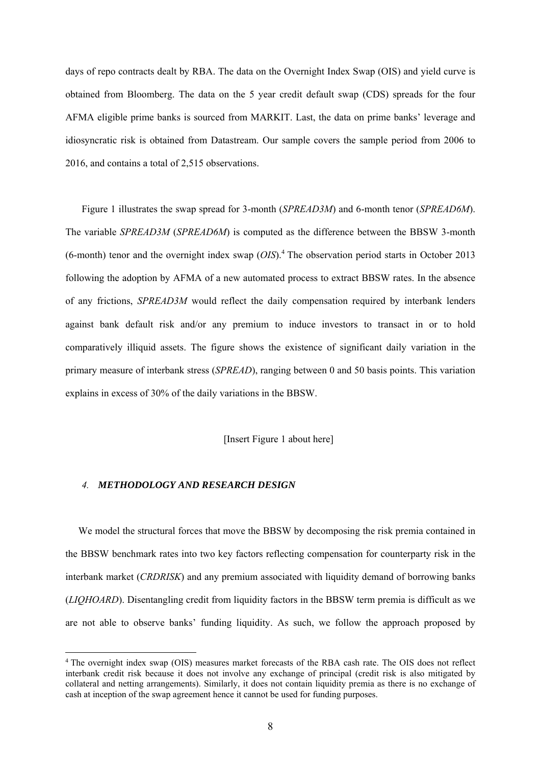days of repo contracts dealt by RBA. The data on the Overnight Index Swap (OIS) and yield curve is obtained from Bloomberg. The data on the 5 year credit default swap (CDS) spreads for the four AFMA eligible prime banks is sourced from MARKIT. Last, the data on prime banks' leverage and idiosyncratic risk is obtained from Datastream. Our sample covers the sample period from 2006 to 2016, and contains a total of 2,515 observations.

Figure 1 illustrates the swap spread for 3-month (*SPREAD3M*) and 6-month tenor (*SPREAD6M*). The variable *SPREAD3M* (*SPREAD6M*) is computed as the difference between the BBSW 3-month (6-month) tenor and the overnight index swap (*OIS*).<sup>4</sup> The observation period starts in October 2013 following the adoption by AFMA of a new automated process to extract BBSW rates. In the absence of any frictions, *SPREAD3M* would reflect the daily compensation required by interbank lenders against bank default risk and/or any premium to induce investors to transact in or to hold comparatively illiquid assets. The figure shows the existence of significant daily variation in the primary measure of interbank stress (*SPREAD*), ranging between 0 and 50 basis points. This variation explains in excess of 30% of the daily variations in the BBSW.

#### [Insert Figure 1 about here]

## *4. METHODOLOGY AND RESEARCH DESIGN*

1

We model the structural forces that move the BBSW by decomposing the risk premia contained in the BBSW benchmark rates into two key factors reflecting compensation for counterparty risk in the interbank market (*CRDRISK*) and any premium associated with liquidity demand of borrowing banks (*LIQHOARD*). Disentangling credit from liquidity factors in the BBSW term premia is difficult as we are not able to observe banks' funding liquidity. As such, we follow the approach proposed by

<sup>4</sup> The overnight index swap (OIS) measures market forecasts of the RBA cash rate. The OIS does not reflect interbank credit risk because it does not involve any exchange of principal (credit risk is also mitigated by collateral and netting arrangements). Similarly, it does not contain liquidity premia as there is no exchange of cash at inception of the swap agreement hence it cannot be used for funding purposes.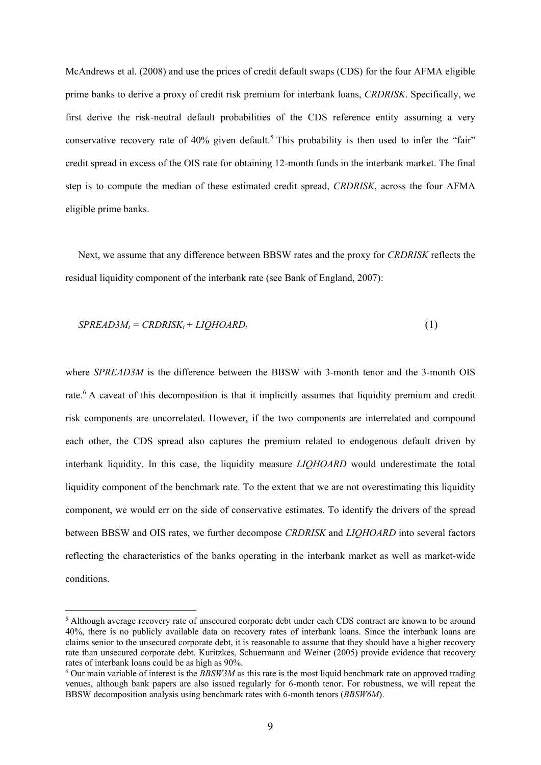McAndrews et al. (2008) and use the prices of credit default swaps (CDS) for the four AFMA eligible prime banks to derive a proxy of credit risk premium for interbank loans, *CRDRISK*. Specifically, we first derive the risk-neutral default probabilities of the CDS reference entity assuming a very conservative recovery rate of  $40\%$  given default.<sup>5</sup> This probability is then used to infer the "fair" credit spread in excess of the OIS rate for obtaining 12-month funds in the interbank market. The final step is to compute the median of these estimated credit spread, *CRDRISK*, across the four AFMA eligible prime banks.

Next, we assume that any difference between BBSW rates and the proxy for *CRDRISK* reflects the residual liquidity component of the interbank rate (see Bank of England, 2007):

$$
SPREAD3M_t = CRDRISK_t + LIQHOARD_t \qquad (1)
$$

where *SPREAD3M* is the difference between the BBSW with 3-month tenor and the 3-month OIS rate.<sup>6</sup> A caveat of this decomposition is that it implicitly assumes that liquidity premium and credit risk components are uncorrelated. However, if the two components are interrelated and compound each other, the CDS spread also captures the premium related to endogenous default driven by interbank liquidity. In this case, the liquidity measure *LIQHOARD* would underestimate the total liquidity component of the benchmark rate. To the extent that we are not overestimating this liquidity component, we would err on the side of conservative estimates. To identify the drivers of the spread between BBSW and OIS rates, we further decompose *CRDRISK* and *LIQHOARD* into several factors reflecting the characteristics of the banks operating in the interbank market as well as market-wide conditions.

<u>.</u>

<sup>&</sup>lt;sup>5</sup> Although average recovery rate of unsecured corporate debt under each CDS contract are known to be around 40%, there is no publicly available data on recovery rates of interbank loans. Since the interbank loans are claims senior to the unsecured corporate debt, it is reasonable to assume that they should have a higher recovery rate than unsecured corporate debt. Kuritzkes, Schuermann and Weiner (2005) provide evidence that recovery rates of interbank loans could be as high as 90%.

<sup>&</sup>lt;sup>6</sup> Our main variable of interest is the *BBSW3M* as this rate is the most liquid benchmark rate on approved trading venues, although bank papers are also issued regularly for 6-month tenor. For robustness, we will repeat the BBSW decomposition analysis using benchmark rates with 6-month tenors (*BBSW6M*).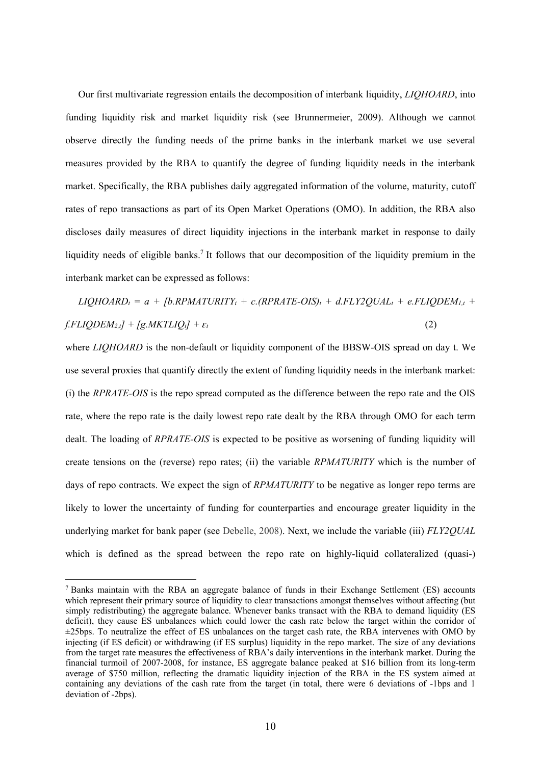Our first multivariate regression entails the decomposition of interbank liquidity, *LIQHOARD*, into funding liquidity risk and market liquidity risk (see Brunnermeier, 2009). Although we cannot observe directly the funding needs of the prime banks in the interbank market we use several measures provided by the RBA to quantify the degree of funding liquidity needs in the interbank market. Specifically, the RBA publishes daily aggregated information of the volume, maturity, cutoff rates of repo transactions as part of its Open Market Operations (OMO). In addition, the RBA also discloses daily measures of direct liquidity injections in the interbank market in response to daily liquidity needs of eligible banks.<sup>7</sup> It follows that our decomposition of the liquidity premium in the interbank market can be expressed as follows:

 $LIOHOARD_t = a + [b. RPMATURITY_t + c.(RPRATE-OIS)_t + d.ELY2QUAL_t + e.ELIODEM_{1,t} +$  $f.FLIQDEM_{2,t} + [g.MKTLIQ_t] + \varepsilon_t$  (2)

where *LIOHOARD* is the non-default or liquidity component of the BBSW-OIS spread on day t. We use several proxies that quantify directly the extent of funding liquidity needs in the interbank market: (i) the *RPRATE-OIS* is the repo spread computed as the difference between the repo rate and the OIS rate, where the repo rate is the daily lowest repo rate dealt by the RBA through OMO for each term dealt. The loading of *RPRATE-OIS* is expected to be positive as worsening of funding liquidity will create tensions on the (reverse) repo rates; (ii) the variable *RPMATURITY* which is the number of days of repo contracts. We expect the sign of *RPMATURITY* to be negative as longer repo terms are likely to lower the uncertainty of funding for counterparties and encourage greater liquidity in the underlying market for bank paper (see Debelle, 2008). Next, we include the variable (iii) *FLY2QUAL* which is defined as the spread between the repo rate on highly-liquid collateralized (quasi-)

<u>.</u>

<sup>7</sup> Banks maintain with the RBA an aggregate balance of funds in their Exchange Settlement (ES) accounts which represent their primary source of liquidity to clear transactions amongst themselves without affecting (but simply redistributing) the aggregate balance. Whenever banks transact with the RBA to demand liquidity (ES deficit), they cause ES unbalances which could lower the cash rate below the target within the corridor of ±25bps. To neutralize the effect of ES unbalances on the target cash rate, the RBA intervenes with OMO by injecting (if ES deficit) or withdrawing (if ES surplus) liquidity in the repo market. The size of any deviations from the target rate measures the effectiveness of RBA's daily interventions in the interbank market. During the financial turmoil of 2007-2008, for instance, ES aggregate balance peaked at \$16 billion from its long-term average of \$750 million, reflecting the dramatic liquidity injection of the RBA in the ES system aimed at containing any deviations of the cash rate from the target (in total, there were 6 deviations of -1bps and 1 deviation of -2bps).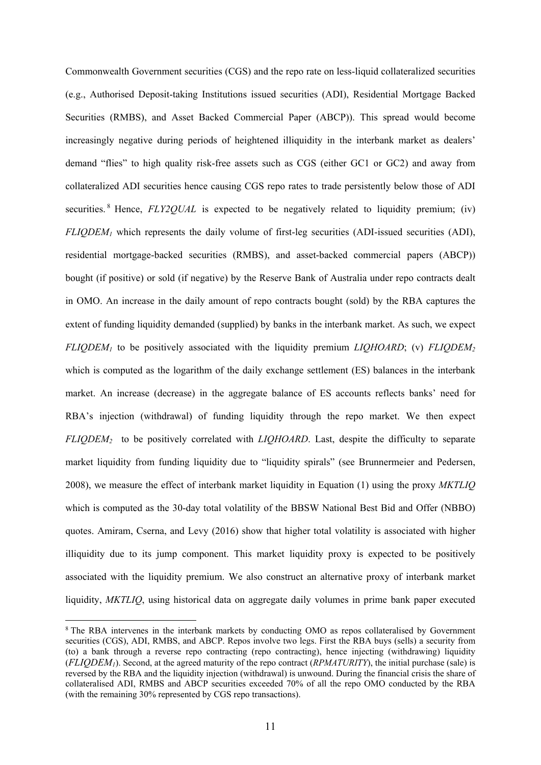Commonwealth Government securities (CGS) and the repo rate on less-liquid collateralized securities (e.g., Authorised Deposit-taking Institutions issued securities (ADI), Residential Mortgage Backed Securities (RMBS), and Asset Backed Commercial Paper (ABCP)). This spread would become increasingly negative during periods of heightened illiquidity in the interbank market as dealers' demand "flies" to high quality risk-free assets such as CGS (either GC1 or GC2) and away from collateralized ADI securities hence causing CGS repo rates to trade persistently below those of ADI securities. <sup>8</sup> Hence, *FLY2QUAL* is expected to be negatively related to liquidity premium; (iv) *FLIQDEM<sub>1</sub>* which represents the daily volume of first-leg securities (ADI-issued securities (ADI), residential mortgage-backed securities (RMBS), and asset-backed commercial papers (ABCP)) bought (if positive) or sold (if negative) by the Reserve Bank of Australia under repo contracts dealt in OMO. An increase in the daily amount of repo contracts bought (sold) by the RBA captures the extent of funding liquidity demanded (supplied) by banks in the interbank market. As such, we expect *FLIQDEM1* to be positively associated with the liquidity premium *LIQHOARD*; (v) *FLIQDEM2* which is computed as the logarithm of the daily exchange settlement (ES) balances in the interbank market. An increase (decrease) in the aggregate balance of ES accounts reflects banks' need for RBA's injection (withdrawal) of funding liquidity through the repo market. We then expect *FLIQDEM2* to be positively correlated with *LIQHOARD*. Last, despite the difficulty to separate market liquidity from funding liquidity due to "liquidity spirals" (see Brunnermeier and Pedersen, 2008), we measure the effect of interbank market liquidity in Equation (1) using the proxy *MKTLIQ* which is computed as the 30-day total volatility of the BBSW National Best Bid and Offer (NBBO) quotes. Amiram, Cserna, and Levy (2016) show that higher total volatility is associated with higher illiquidity due to its jump component. This market liquidity proxy is expected to be positively associated with the liquidity premium. We also construct an alternative proxy of interbank market liquidity, *MKTLIQ*, using historical data on aggregate daily volumes in prime bank paper executed

1

<sup>&</sup>lt;sup>8</sup> The RBA intervenes in the interbank markets by conducting OMO as repos collateralised by Government securities (CGS), ADI, RMBS, and ABCP. Repos involve two legs. First the RBA buys (sells) a security from (to) a bank through a reverse repo contracting (repo contracting), hence injecting (withdrawing) liquidity (*FLIQDEM1*). Second, at the agreed maturity of the repo contract (*RPMATURITY*), the initial purchase (sale) is reversed by the RBA and the liquidity injection (withdrawal) is unwound. During the financial crisis the share of collateralised ADI, RMBS and ABCP securities exceeded 70% of all the repo OMO conducted by the RBA (with the remaining 30% represented by CGS repo transactions).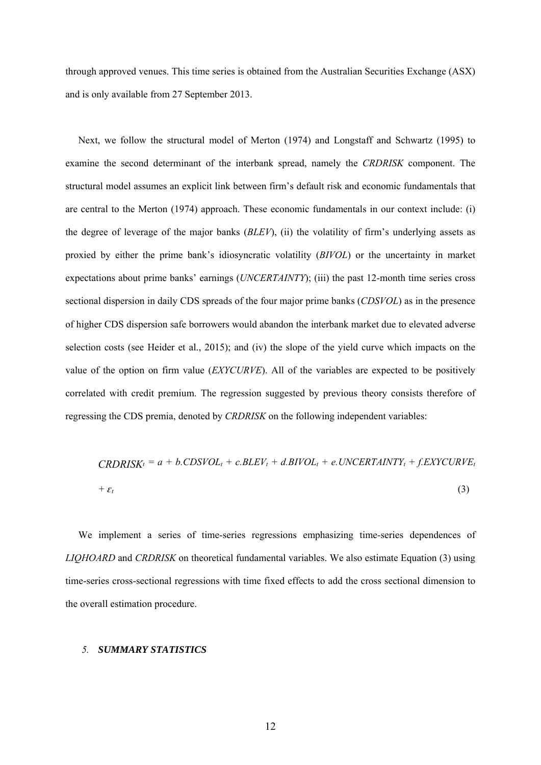through approved venues. This time series is obtained from the Australian Securities Exchange (ASX) and is only available from 27 September 2013.

Next, we follow the structural model of Merton (1974) and Longstaff and Schwartz (1995) to examine the second determinant of the interbank spread, namely the *CRDRISK* component. The structural model assumes an explicit link between firm's default risk and economic fundamentals that are central to the Merton (1974) approach. These economic fundamentals in our context include: (i) the degree of leverage of the major banks (*BLEV*), (ii) the volatility of firm's underlying assets as proxied by either the prime bank's idiosyncratic volatility (*BIVOL*) or the uncertainty in market expectations about prime banks' earnings (*UNCERTAINTY*); (iii) the past 12-month time series cross sectional dispersion in daily CDS spreads of the four major prime banks (*CDSVOL*) as in the presence of higher CDS dispersion safe borrowers would abandon the interbank market due to elevated adverse selection costs (see Heider et al., 2015); and (iv) the slope of the yield curve which impacts on the value of the option on firm value (*EXYCURVE*). All of the variables are expected to be positively correlated with credit premium. The regression suggested by previous theory consists therefore of regressing the CDS premia, denoted by *CRDRISK* on the following independent variables:

$$
CRDRISKt = a + b.CDSVOLt + c.BLEVt + d.BIVOLt + e.UNCERTAINTYt + f.EXYCURVEt
$$
  
+  $\varepsilon_t$  (3)

We implement a series of time-series regressions emphasizing time-series dependences of *LIQHOARD* and *CRDRISK* on theoretical fundamental variables. We also estimate Equation (3) using time-series cross-sectional regressions with time fixed effects to add the cross sectional dimension to the overall estimation procedure.

#### *5. SUMMARY STATISTICS*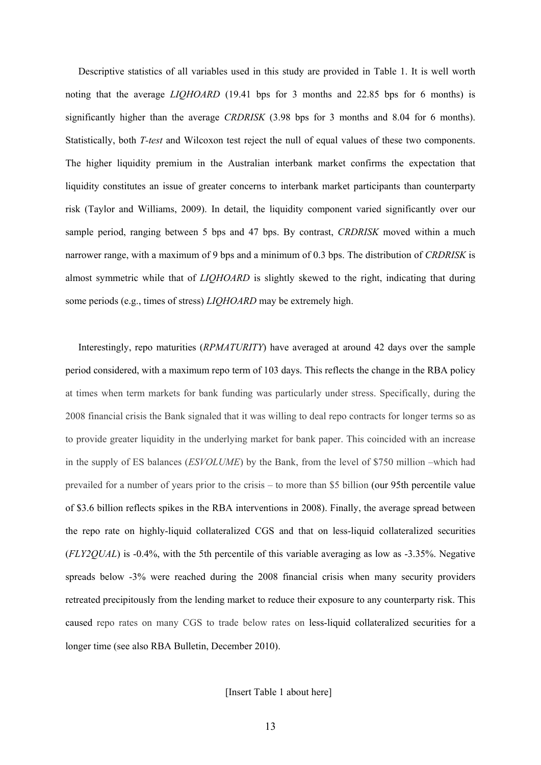Descriptive statistics of all variables used in this study are provided in Table 1. It is well worth noting that the average *LIQHOARD* (19.41 bps for 3 months and 22.85 bps for 6 months) is significantly higher than the average *CRDRISK* (3.98 bps for 3 months and 8.04 for 6 months). Statistically, both *T-test* and Wilcoxon test reject the null of equal values of these two components. The higher liquidity premium in the Australian interbank market confirms the expectation that liquidity constitutes an issue of greater concerns to interbank market participants than counterparty risk (Taylor and Williams, 2009). In detail, the liquidity component varied significantly over our sample period, ranging between 5 bps and 47 bps. By contrast, *CRDRISK* moved within a much narrower range, with a maximum of 9 bps and a minimum of 0.3 bps. The distribution of *CRDRISK* is almost symmetric while that of *LIQHOARD* is slightly skewed to the right, indicating that during some periods (e.g., times of stress) *LIQHOARD* may be extremely high.

Interestingly, repo maturities (*RPMATURITY*) have averaged at around 42 days over the sample period considered, with a maximum repo term of 103 days. This reflects the change in the RBA policy at times when term markets for bank funding was particularly under stress. Specifically, during the 2008 financial crisis the Bank signaled that it was willing to deal repo contracts for longer terms so as to provide greater liquidity in the underlying market for bank paper. This coincided with an increase in the supply of ES balances (*ESVOLUME*) by the Bank, from the level of \$750 million –which had prevailed for a number of years prior to the crisis – to more than \$5 billion (our 95th percentile value of \$3.6 billion reflects spikes in the RBA interventions in 2008). Finally, the average spread between the repo rate on highly-liquid collateralized CGS and that on less-liquid collateralized securities (*FLY2QUAL*) is -0.4%, with the 5th percentile of this variable averaging as low as -3.35%. Negative spreads below -3% were reached during the 2008 financial crisis when many security providers retreated precipitously from the lending market to reduce their exposure to any counterparty risk. This caused repo rates on many CGS to trade below rates on less-liquid collateralized securities for a longer time (see also RBA Bulletin, December 2010).

[Insert Table 1 about here]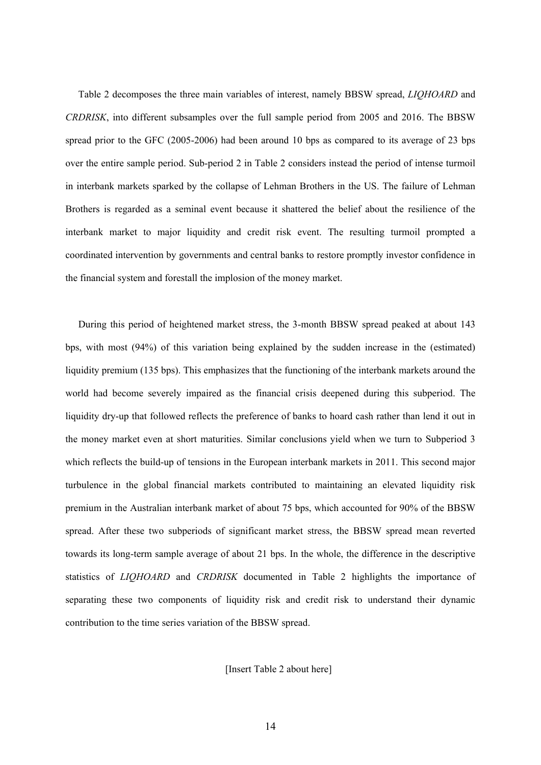Table 2 decomposes the three main variables of interest, namely BBSW spread, *LIQHOARD* and *CRDRISK*, into different subsamples over the full sample period from 2005 and 2016. The BBSW spread prior to the GFC (2005-2006) had been around 10 bps as compared to its average of 23 bps over the entire sample period. Sub-period 2 in Table 2 considers instead the period of intense turmoil in interbank markets sparked by the collapse of Lehman Brothers in the US. The failure of Lehman Brothers is regarded as a seminal event because it shattered the belief about the resilience of the interbank market to major liquidity and credit risk event. The resulting turmoil prompted a coordinated intervention by governments and central banks to restore promptly investor confidence in the financial system and forestall the implosion of the money market.

During this period of heightened market stress, the 3-month BBSW spread peaked at about 143 bps, with most (94%) of this variation being explained by the sudden increase in the (estimated) liquidity premium (135 bps). This emphasizes that the functioning of the interbank markets around the world had become severely impaired as the financial crisis deepened during this subperiod. The liquidity dry-up that followed reflects the preference of banks to hoard cash rather than lend it out in the money market even at short maturities. Similar conclusions yield when we turn to Subperiod 3 which reflects the build-up of tensions in the European interbank markets in 2011. This second major turbulence in the global financial markets contributed to maintaining an elevated liquidity risk premium in the Australian interbank market of about 75 bps, which accounted for 90% of the BBSW spread. After these two subperiods of significant market stress, the BBSW spread mean reverted towards its long-term sample average of about 21 bps. In the whole, the difference in the descriptive statistics of *LIQHOARD* and *CRDRISK* documented in Table 2 highlights the importance of separating these two components of liquidity risk and credit risk to understand their dynamic contribution to the time series variation of the BBSW spread.

[Insert Table 2 about here]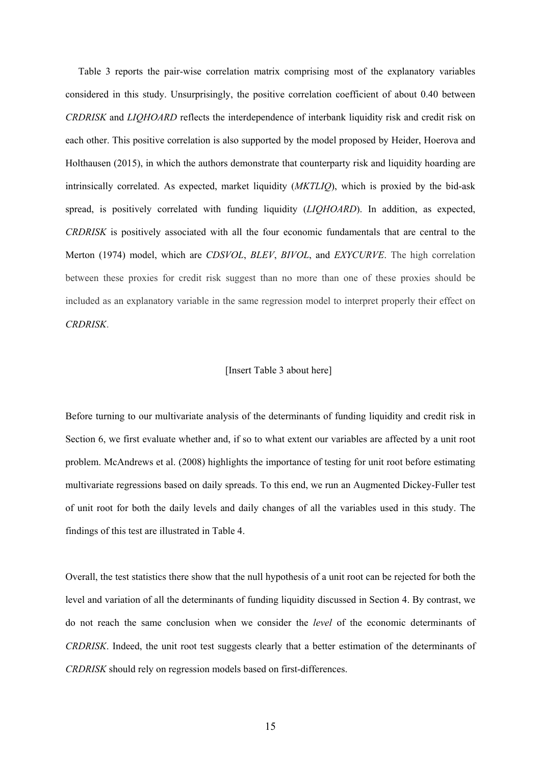Table 3 reports the pair-wise correlation matrix comprising most of the explanatory variables considered in this study. Unsurprisingly, the positive correlation coefficient of about 0.40 between *CRDRISK* and *LIQHOARD* reflects the interdependence of interbank liquidity risk and credit risk on each other. This positive correlation is also supported by the model proposed by Heider, Hoerova and Holthausen (2015), in which the authors demonstrate that counterparty risk and liquidity hoarding are intrinsically correlated. As expected, market liquidity (*MKTLIQ*), which is proxied by the bid-ask spread, is positively correlated with funding liquidity (*LIQHOARD*). In addition, as expected, *CRDRISK* is positively associated with all the four economic fundamentals that are central to the Merton (1974) model, which are *CDSVOL*, *BLEV*, *BIVOL*, and *EXYCURVE*. The high correlation between these proxies for credit risk suggest than no more than one of these proxies should be included as an explanatory variable in the same regression model to interpret properly their effect on *CRDRISK*.

#### [Insert Table 3 about here]

Before turning to our multivariate analysis of the determinants of funding liquidity and credit risk in Section 6, we first evaluate whether and, if so to what extent our variables are affected by a unit root problem. McAndrews et al. (2008) highlights the importance of testing for unit root before estimating multivariate regressions based on daily spreads. To this end, we run an Augmented Dickey-Fuller test of unit root for both the daily levels and daily changes of all the variables used in this study. The findings of this test are illustrated in Table 4.

Overall, the test statistics there show that the null hypothesis of a unit root can be rejected for both the level and variation of all the determinants of funding liquidity discussed in Section 4. By contrast, we do not reach the same conclusion when we consider the *level* of the economic determinants of *CRDRISK*. Indeed, the unit root test suggests clearly that a better estimation of the determinants of *CRDRISK* should rely on regression models based on first-differences.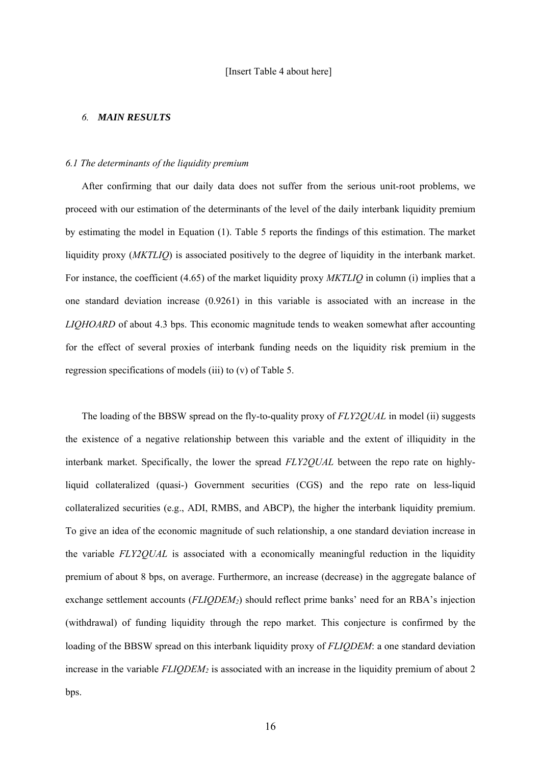#### [Insert Table 4 about here]

#### *6. MAIN RESULTS*

## *6.1 The determinants of the liquidity premium*

After confirming that our daily data does not suffer from the serious unit-root problems, we proceed with our estimation of the determinants of the level of the daily interbank liquidity premium by estimating the model in Equation (1). Table 5 reports the findings of this estimation. The market liquidity proxy (*MKTLIQ*) is associated positively to the degree of liquidity in the interbank market. For instance, the coefficient (4.65) of the market liquidity proxy *MKTLIQ* in column (i) implies that a one standard deviation increase (0.9261) in this variable is associated with an increase in the *LIQHOARD* of about 4.3 bps. This economic magnitude tends to weaken somewhat after accounting for the effect of several proxies of interbank funding needs on the liquidity risk premium in the regression specifications of models (iii) to (v) of Table 5.

The loading of the BBSW spread on the fly-to-quality proxy of *FLY2QUAL* in model (ii) suggests the existence of a negative relationship between this variable and the extent of illiquidity in the interbank market. Specifically, the lower the spread *FLY2QUAL* between the repo rate on highlyliquid collateralized (quasi-) Government securities (CGS) and the repo rate on less-liquid collateralized securities (e.g., ADI, RMBS, and ABCP), the higher the interbank liquidity premium. To give an idea of the economic magnitude of such relationship, a one standard deviation increase in the variable *FLY2QUAL* is associated with a economically meaningful reduction in the liquidity premium of about 8 bps, on average. Furthermore, an increase (decrease) in the aggregate balance of exchange settlement accounts (*FLIQDEM2*) should reflect prime banks' need for an RBA's injection (withdrawal) of funding liquidity through the repo market. This conjecture is confirmed by the loading of the BBSW spread on this interbank liquidity proxy of *FLIQDEM*: a one standard deviation increase in the variable *FLIQDEM2* is associated with an increase in the liquidity premium of about 2 bps.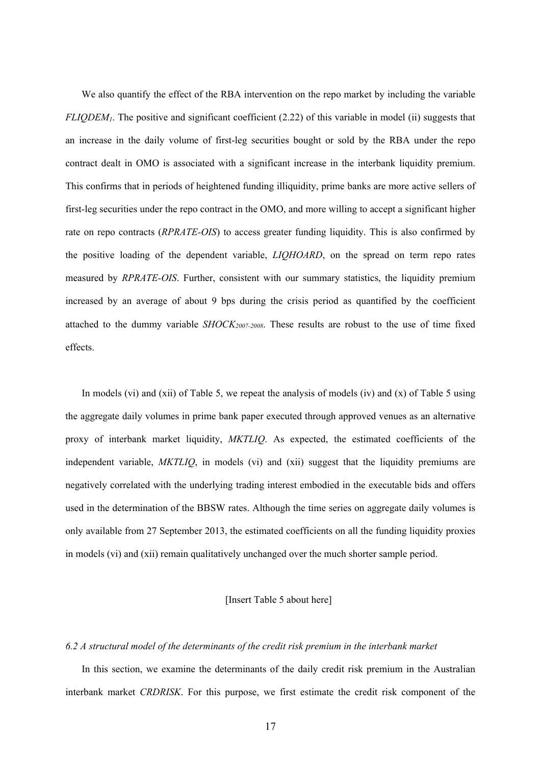We also quantify the effect of the RBA intervention on the repo market by including the variable *FLIODEM<sub>1</sub>*. The positive and significant coefficient (2.22) of this variable in model (ii) suggests that an increase in the daily volume of first-leg securities bought or sold by the RBA under the repo contract dealt in OMO is associated with a significant increase in the interbank liquidity premium. This confirms that in periods of heightened funding illiquidity, prime banks are more active sellers of first-leg securities under the repo contract in the OMO, and more willing to accept a significant higher rate on repo contracts (*RPRATE-OIS*) to access greater funding liquidity. This is also confirmed by the positive loading of the dependent variable, *LIQHOARD*, on the spread on term repo rates measured by *RPRATE-OIS*. Further, consistent with our summary statistics, the liquidity premium increased by an average of about 9 bps during the crisis period as quantified by the coefficient attached to the dummy variable *SHOCK2007-2008*. These results are robust to the use of time fixed effects.

In models (vi) and (xii) of Table 5, we repeat the analysis of models (iv) and (x) of Table 5 using the aggregate daily volumes in prime bank paper executed through approved venues as an alternative proxy of interbank market liquidity, *MKTLIQ*. As expected, the estimated coefficients of the independent variable, *MKTLIQ*, in models (vi) and (xii) suggest that the liquidity premiums are negatively correlated with the underlying trading interest embodied in the executable bids and offers used in the determination of the BBSW rates. Although the time series on aggregate daily volumes is only available from 27 September 2013, the estimated coefficients on all the funding liquidity proxies in models (vi) and (xii) remain qualitatively unchanged over the much shorter sample period.

#### [Insert Table 5 about here]

#### *6.2 A structural model of the determinants of the credit risk premium in the interbank market*

In this section, we examine the determinants of the daily credit risk premium in the Australian interbank market *CRDRISK*. For this purpose, we first estimate the credit risk component of the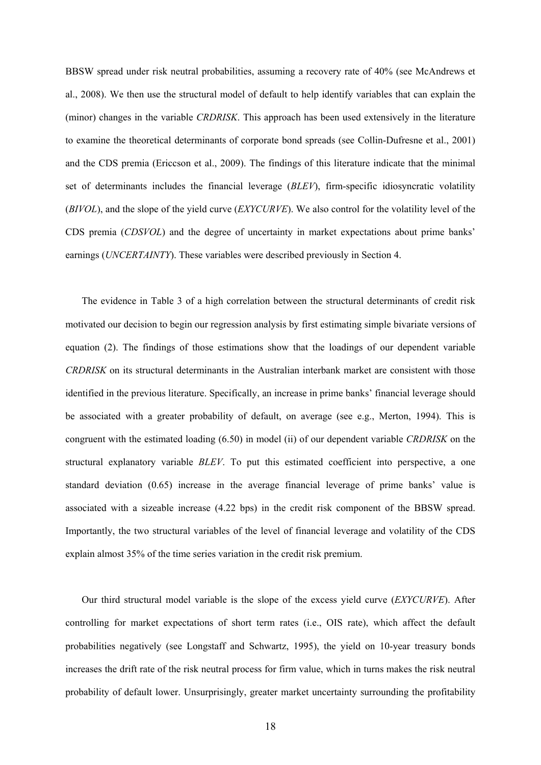BBSW spread under risk neutral probabilities, assuming a recovery rate of 40% (see McAndrews et al., 2008). We then use the structural model of default to help identify variables that can explain the (minor) changes in the variable *CRDRISK*. This approach has been used extensively in the literature to examine the theoretical determinants of corporate bond spreads (see Collin-Dufresne et al., 2001) and the CDS premia (Ericcson et al., 2009). The findings of this literature indicate that the minimal set of determinants includes the financial leverage (*BLEV*), firm-specific idiosyncratic volatility (*BIVOL*), and the slope of the yield curve (*EXYCURVE*). We also control for the volatility level of the CDS premia (*CDSVOL*) and the degree of uncertainty in market expectations about prime banks' earnings (*UNCERTAINTY*). These variables were described previously in Section 4.

The evidence in Table 3 of a high correlation between the structural determinants of credit risk motivated our decision to begin our regression analysis by first estimating simple bivariate versions of equation (2). The findings of those estimations show that the loadings of our dependent variable *CRDRISK* on its structural determinants in the Australian interbank market are consistent with those identified in the previous literature. Specifically, an increase in prime banks' financial leverage should be associated with a greater probability of default, on average (see e.g., Merton, 1994). This is congruent with the estimated loading (6.50) in model (ii) of our dependent variable *CRDRISK* on the structural explanatory variable *BLEV*. To put this estimated coefficient into perspective, a one standard deviation (0.65) increase in the average financial leverage of prime banks' value is associated with a sizeable increase (4.22 bps) in the credit risk component of the BBSW spread. Importantly, the two structural variables of the level of financial leverage and volatility of the CDS explain almost 35% of the time series variation in the credit risk premium.

Our third structural model variable is the slope of the excess yield curve (*EXYCURVE*). After controlling for market expectations of short term rates (i.e., OIS rate), which affect the default probabilities negatively (see Longstaff and Schwartz, 1995), the yield on 10-year treasury bonds increases the drift rate of the risk neutral process for firm value, which in turns makes the risk neutral probability of default lower. Unsurprisingly, greater market uncertainty surrounding the profitability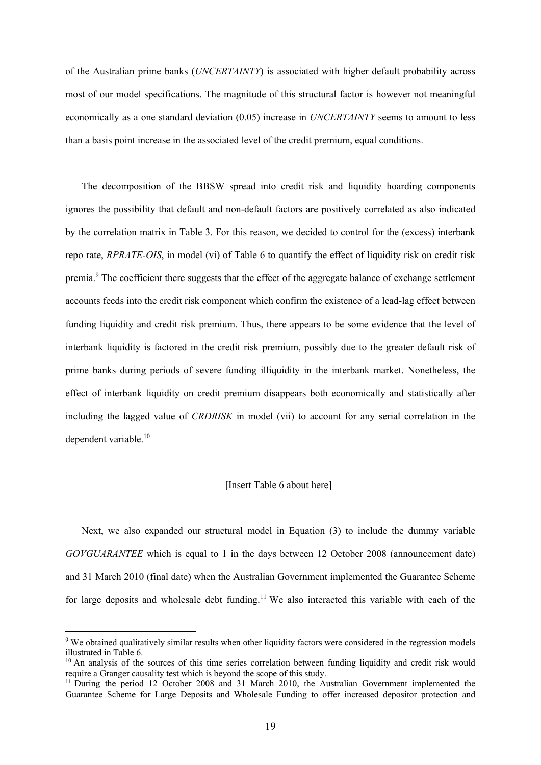of the Australian prime banks (*UNCERTAINTY*) is associated with higher default probability across most of our model specifications. The magnitude of this structural factor is however not meaningful economically as a one standard deviation (0.05) increase in *UNCERTAINTY* seems to amount to less than a basis point increase in the associated level of the credit premium, equal conditions.

The decomposition of the BBSW spread into credit risk and liquidity hoarding components ignores the possibility that default and non-default factors are positively correlated as also indicated by the correlation matrix in Table 3. For this reason, we decided to control for the (excess) interbank repo rate, *RPRATE-OIS*, in model (vi) of Table 6 to quantify the effect of liquidity risk on credit risk premia.<sup>9</sup> The coefficient there suggests that the effect of the aggregate balance of exchange settlement accounts feeds into the credit risk component which confirm the existence of a lead-lag effect between funding liquidity and credit risk premium. Thus, there appears to be some evidence that the level of interbank liquidity is factored in the credit risk premium, possibly due to the greater default risk of prime banks during periods of severe funding illiquidity in the interbank market. Nonetheless, the effect of interbank liquidity on credit premium disappears both economically and statistically after including the lagged value of *CRDRISK* in model (vii) to account for any serial correlation in the dependent variable.<sup>10</sup>

#### [Insert Table 6 about here]

Next, we also expanded our structural model in Equation (3) to include the dummy variable *GOVGUARANTEE* which is equal to 1 in the days between 12 October 2008 (announcement date) and 31 March 2010 (final date) when the Australian Government implemented the Guarantee Scheme for large deposits and wholesale debt funding.<sup>11</sup> We also interacted this variable with each of the

1

<sup>&</sup>lt;sup>9</sup> We obtained qualitatively similar results when other liquidity factors were considered in the regression models illustrated in Table 6.

 $10$  An analysis of the sources of this time series correlation between funding liquidity and credit risk would require a Granger causality test which is beyond the scope of this study.

<sup>&</sup>lt;sup>11</sup> During the period 12 October 2008 and 31 March 2010, the Australian Government implemented the Guarantee Scheme for Large Deposits and Wholesale Funding to offer increased depositor protection and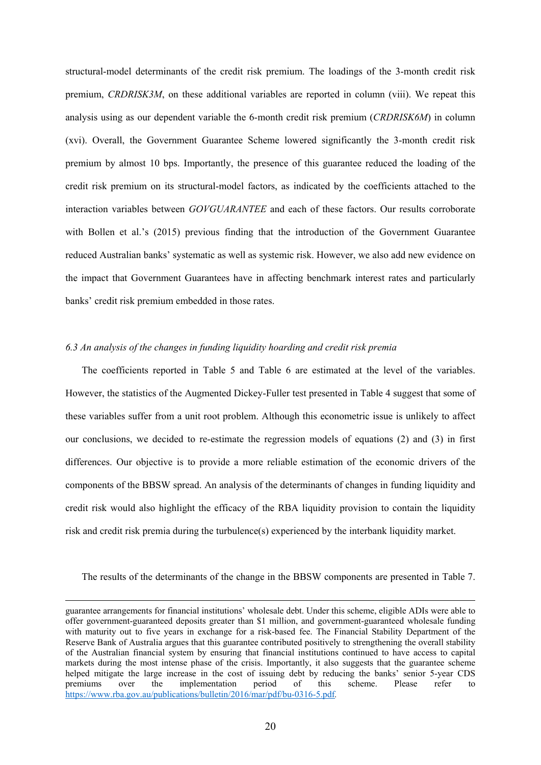structural-model determinants of the credit risk premium. The loadings of the 3-month credit risk premium, *CRDRISK3M*, on these additional variables are reported in column (viii). We repeat this analysis using as our dependent variable the 6-month credit risk premium (*CRDRISK6M*) in column (xvi). Overall, the Government Guarantee Scheme lowered significantly the 3-month credit risk premium by almost 10 bps. Importantly, the presence of this guarantee reduced the loading of the credit risk premium on its structural-model factors, as indicated by the coefficients attached to the interaction variables between *GOVGUARANTEE* and each of these factors. Our results corroborate with Bollen et al.'s (2015) previous finding that the introduction of the Government Guarantee reduced Australian banks' systematic as well as systemic risk. However, we also add new evidence on the impact that Government Guarantees have in affecting benchmark interest rates and particularly banks' credit risk premium embedded in those rates.

#### *6.3 An analysis of the changes in funding liquidity hoarding and credit risk premia*

The coefficients reported in Table 5 and Table 6 are estimated at the level of the variables. However, the statistics of the Augmented Dickey-Fuller test presented in Table 4 suggest that some of these variables suffer from a unit root problem. Although this econometric issue is unlikely to affect our conclusions, we decided to re-estimate the regression models of equations (2) and (3) in first differences. Our objective is to provide a more reliable estimation of the economic drivers of the components of the BBSW spread. An analysis of the determinants of changes in funding liquidity and credit risk would also highlight the efficacy of the RBA liquidity provision to contain the liquidity risk and credit risk premia during the turbulence(s) experienced by the interbank liquidity market.

The results of the determinants of the change in the BBSW components are presented in Table 7.

guarantee arrangements for financial institutions' wholesale debt. Under this scheme, eligible ADIs were able to offer government-guaranteed deposits greater than \$1 million, and government-guaranteed wholesale funding with maturity out to five years in exchange for a risk-based fee. The Financial Stability Department of the Reserve Bank of Australia argues that this guarantee contributed positively to strengthening the overall stability of the Australian financial system by ensuring that financial institutions continued to have access to capital markets during the most intense phase of the crisis. Importantly, it also suggests that the guarantee scheme helped mitigate the large increase in the cost of issuing debt by reducing the banks' senior 5-year CDS premiums over the implementation period of this scheme. Please refer to https://www.rba.gov.au/publications/bulletin/2016/mar/pdf/bu-0316-5.pdf*.*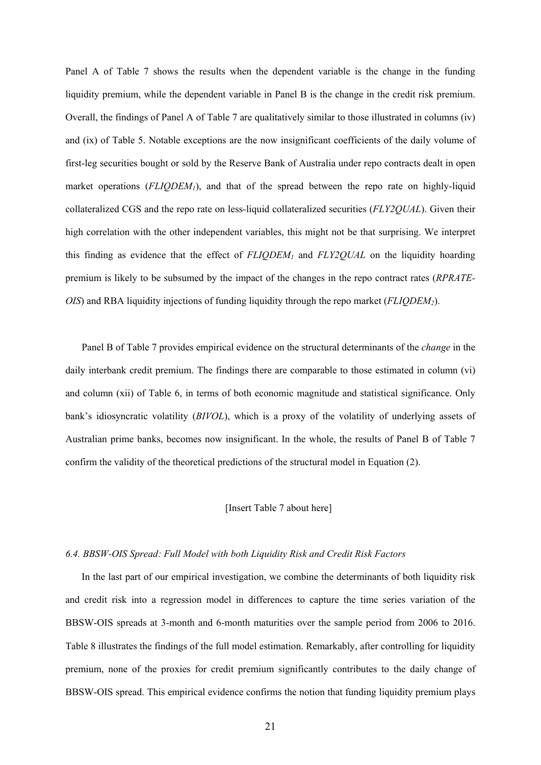Panel A of Table 7 shows the results when the dependent variable is the change in the funding liquidity premium, while the dependent variable in Panel B is the change in the credit risk premium. Overall, the findings of Panel A of Table 7 are qualitatively similar to those illustrated in columns (iv) and (ix) of Table 5. Notable exceptions are the now insignificant coefficients of the daily volume of first-leg securities bought or sold by the Reserve Bank of Australia under repo contracts dealt in open market operations  $(FLIODEM<sub>l</sub>)$ , and that of the spread between the repo rate on highly-liquid collateralized CGS and the repo rate on less-liquid collateralized securities (*FLY2QUAL*). Given their high correlation with the other independent variables, this might not be that surprising. We interpret this finding as evidence that the effect of *FLIQDEM1* and *FLY2QUAL* on the liquidity hoarding premium is likely to be subsumed by the impact of the changes in the repo contract rates (*RPRATE-OIS*) and RBA liquidity injections of funding liquidity through the repo market (*FLIQDEM2*).

Panel B of Table 7 provides empirical evidence on the structural determinants of the *change* in the daily interbank credit premium. The findings there are comparable to those estimated in column (vi) and column (xii) of Table 6, in terms of both economic magnitude and statistical significance. Only bank's idiosyncratic volatility (*BIVOL*), which is a proxy of the volatility of underlying assets of Australian prime banks, becomes now insignificant. In the whole, the results of Panel B of Table 7 confirm the validity of the theoretical predictions of the structural model in Equation (2).

#### [Insert Table 7 about here]

#### *6.4. BBSW-OIS Spread: Full Model with both Liquidity Risk and Credit Risk Factors*

In the last part of our empirical investigation, we combine the determinants of both liquidity risk and credit risk into a regression model in differences to capture the time series variation of the BBSW-OIS spreads at 3-month and 6-month maturities over the sample period from 2006 to 2016. Table 8 illustrates the findings of the full model estimation. Remarkably, after controlling for liquidity premium, none of the proxies for credit premium significantly contributes to the daily change of BBSW-OIS spread. This empirical evidence confirms the notion that funding liquidity premium plays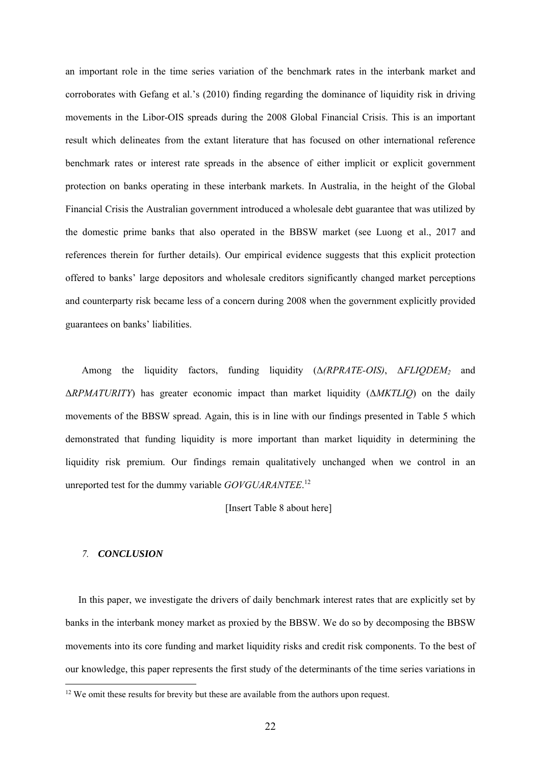an important role in the time series variation of the benchmark rates in the interbank market and corroborates with Gefang et al.'s (2010) finding regarding the dominance of liquidity risk in driving movements in the Libor-OIS spreads during the 2008 Global Financial Crisis. This is an important result which delineates from the extant literature that has focused on other international reference benchmark rates or interest rate spreads in the absence of either implicit or explicit government protection on banks operating in these interbank markets. In Australia, in the height of the Global Financial Crisis the Australian government introduced a wholesale debt guarantee that was utilized by the domestic prime banks that also operated in the BBSW market (see Luong et al., 2017 and references therein for further details). Our empirical evidence suggests that this explicit protection offered to banks' large depositors and wholesale creditors significantly changed market perceptions and counterparty risk became less of a concern during 2008 when the government explicitly provided guarantees on banks' liabilities.

Among the liquidity factors, funding liquidity (Δ*(RPRATE-OIS)*, Δ*FLIQDEM2* and Δ*RPMATURITY*) has greater economic impact than market liquidity (Δ*MKTLIQ*) on the daily movements of the BBSW spread. Again, this is in line with our findings presented in Table 5 which demonstrated that funding liquidity is more important than market liquidity in determining the liquidity risk premium. Our findings remain qualitatively unchanged when we control in an unreported test for the dummy variable *GOVGUARANTEE*. 12

[Insert Table 8 about here]

# *7. CONCLUSION*

1

In this paper, we investigate the drivers of daily benchmark interest rates that are explicitly set by banks in the interbank money market as proxied by the BBSW. We do so by decomposing the BBSW movements into its core funding and market liquidity risks and credit risk components. To the best of our knowledge, this paper represents the first study of the determinants of the time series variations in

<sup>&</sup>lt;sup>12</sup> We omit these results for brevity but these are available from the authors upon request.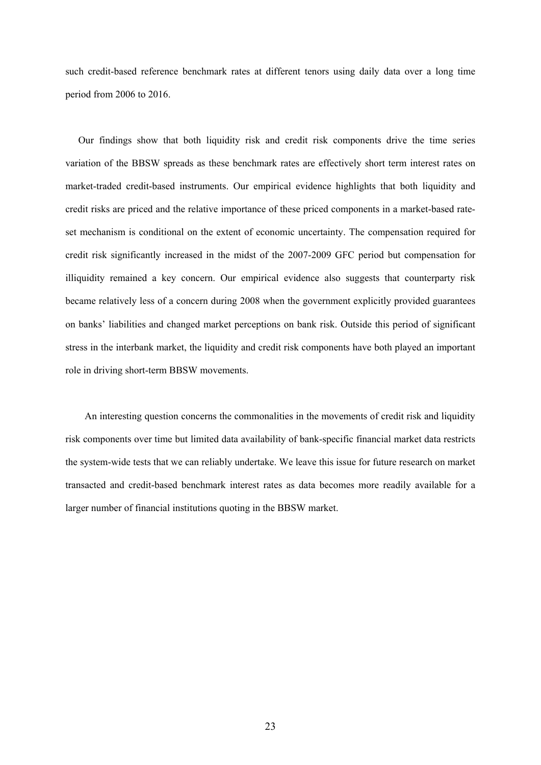such credit-based reference benchmark rates at different tenors using daily data over a long time period from 2006 to 2016.

Our findings show that both liquidity risk and credit risk components drive the time series variation of the BBSW spreads as these benchmark rates are effectively short term interest rates on market-traded credit-based instruments. Our empirical evidence highlights that both liquidity and credit risks are priced and the relative importance of these priced components in a market-based rateset mechanism is conditional on the extent of economic uncertainty. The compensation required for credit risk significantly increased in the midst of the 2007-2009 GFC period but compensation for illiquidity remained a key concern. Our empirical evidence also suggests that counterparty risk became relatively less of a concern during 2008 when the government explicitly provided guarantees on banks' liabilities and changed market perceptions on bank risk. Outside this period of significant stress in the interbank market, the liquidity and credit risk components have both played an important role in driving short-term BBSW movements.

An interesting question concerns the commonalities in the movements of credit risk and liquidity risk components over time but limited data availability of bank-specific financial market data restricts the system-wide tests that we can reliably undertake. We leave this issue for future research on market transacted and credit-based benchmark interest rates as data becomes more readily available for a larger number of financial institutions quoting in the BBSW market.

23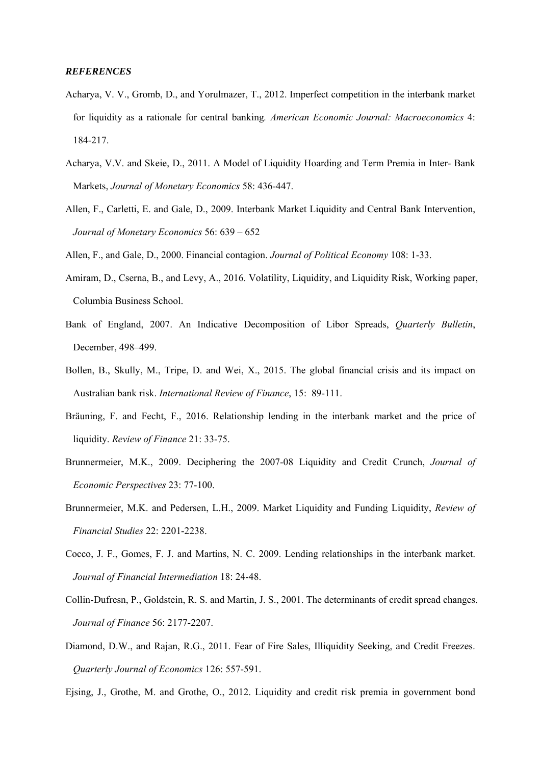#### *REFERENCES*

- Acharya, V. V., Gromb, D., and Yorulmazer, T., 2012. Imperfect competition in the interbank market for liquidity as a rationale for central banking*. American Economic Journal: Macroeconomics* 4: 184-217.
- Acharya, V.V. and Skeie, D., 2011. A Model of Liquidity Hoarding and Term Premia in Inter- Bank Markets, *Journal of Monetary Economics* 58: 436-447.
- Allen, F., Carletti, E. and Gale, D., 2009. Interbank Market Liquidity and Central Bank Intervention, *Journal of Monetary Economics* 56: 639 – 652
- Allen, F., and Gale, D., 2000. Financial contagion. *Journal of Political Economy* 108: 1-33.
- Amiram, D., Cserna, B., and Levy, A., 2016. Volatility, Liquidity, and Liquidity Risk, Working paper, Columbia Business School.
- Bank of England, 2007. An Indicative Decomposition of Libor Spreads, *Quarterly Bulletin*, December, 498–499.
- Bollen, B., Skully, M., Tripe, D. and Wei, X., 2015. The global financial crisis and its impact on Australian bank risk. *International Review of Finance*, 15: 89-111.
- Bräuning, F. and Fecht, F., 2016. Relationship lending in the interbank market and the price of liquidity. *Review of Finance* 21: 33-75.
- Brunnermeier, M.K., 2009. Deciphering the 2007-08 Liquidity and Credit Crunch, *Journal of Economic Perspectives* 23: 77-100.
- Brunnermeier, M.K. and Pedersen, L.H., 2009. Market Liquidity and Funding Liquidity, *Review of Financial Studies* 22: 2201-2238.
- Cocco, J. F., Gomes, F. J. and Martins, N. C. 2009. Lending relationships in the interbank market. *Journal of Financial Intermediation* 18: 24-48.
- Collin-Dufresn, P., Goldstein, R. S. and Martin, J. S., 2001. The determinants of credit spread changes. *Journal of Finance* 56: 2177-2207.
- Diamond, D.W., and Rajan, R.G., 2011. Fear of Fire Sales, Illiquidity Seeking, and Credit Freezes. *Quarterly Journal of Economics* 126: 557-591.

Ejsing, J., Grothe, M. and Grothe, O., 2012. Liquidity and credit risk premia in government bond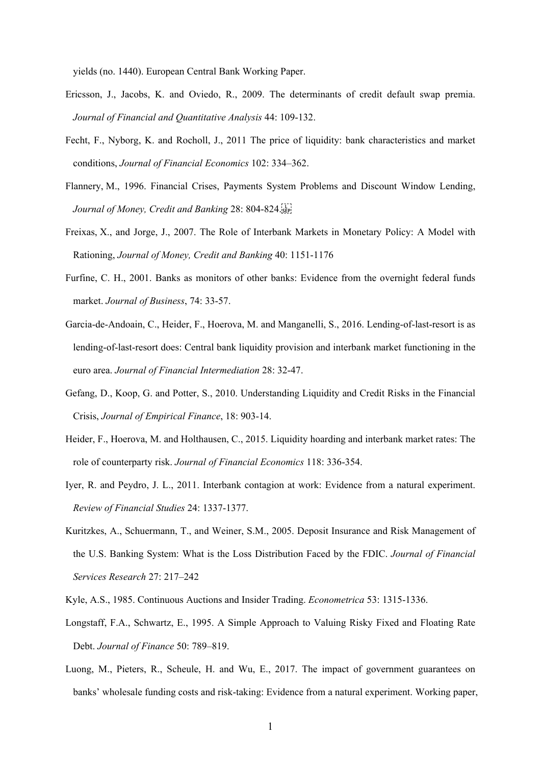yields (no. 1440). European Central Bank Working Paper.

- Ericsson, J., Jacobs, K. and Oviedo, R., 2009. The determinants of credit default swap premia. *Journal of Financial and Quantitative Analysis* 44: 109-132.
- Fecht, F., Nyborg, K. and Rocholl, J., 2011 The price of liquidity: bank characteristics and market conditions, *Journal of Financial Economics* 102: 334–362.
- Flannery, M., 1996. Financial Crises, Payments System Problems and Discount Window Lending, *Journal of Money, Credit and Banking* 28: 804-824.
- Freixas, X., and Jorge, J., 2007. The Role of Interbank Markets in Monetary Policy: A Model with Rationing, *Journal of Money, Credit and Banking* 40: 1151-1176
- Furfine, C. H., 2001. Banks as monitors of other banks: Evidence from the overnight federal funds market. *Journal of Business*, 74: 33-57.
- Garcia-de-Andoain, C., Heider, F., Hoerova, M. and Manganelli, S., 2016. Lending-of-last-resort is as lending-of-last-resort does: Central bank liquidity provision and interbank market functioning in the euro area. *Journal of Financial Intermediation* 28: 32-47.
- Gefang, D., Koop, G. and Potter, S., 2010. Understanding Liquidity and Credit Risks in the Financial Crisis, *Journal of Empirical Finance*, 18: 903-14.
- Heider, F., Hoerova, M. and Holthausen, C., 2015. Liquidity hoarding and interbank market rates: The role of counterparty risk. *Journal of Financial Economics* 118: 336-354.
- Iyer, R. and Peydro, J. L., 2011. Interbank contagion at work: Evidence from a natural experiment. *Review of Financial Studies* 24: 1337-1377.
- Kuritzkes, A., Schuermann, T., and Weiner, S.M., 2005. Deposit Insurance and Risk Management of the U.S. Banking System: What is the Loss Distribution Faced by the FDIC. *Journal of Financial Services Research* 27: 217–242
- Kyle, A.S., 1985. Continuous Auctions and Insider Trading. *Econometrica* 53: 1315-1336.
- Longstaff, F.A., Schwartz, E., 1995. A Simple Approach to Valuing Risky Fixed and Floating Rate Debt. *Journal of Finance* 50: 789–819.
- Luong, M., Pieters, R., Scheule, H. and Wu, E., 2017. The impact of government guarantees on banks' wholesale funding costs and risk-taking: Evidence from a natural experiment. Working paper,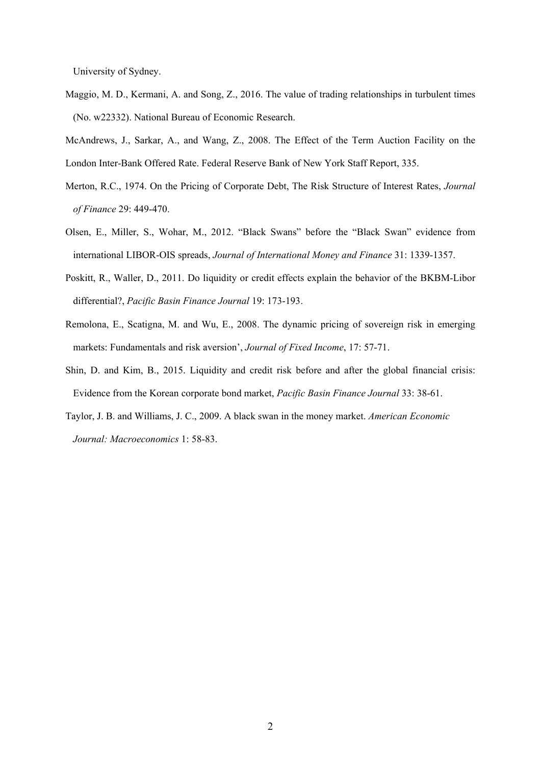University of Sydney.

Maggio, M. D., Kermani, A. and Song, Z., 2016. The value of trading relationships in turbulent times (No. w22332). National Bureau of Economic Research.

McAndrews, J., Sarkar, A., and Wang, Z., 2008. The Effect of the Term Auction Facility on the London Inter-Bank Offered Rate. Federal Reserve Bank of New York Staff Report, 335.

- Merton, R.C., 1974. On the Pricing of Corporate Debt, The Risk Structure of Interest Rates, *Journal of Finance* 29: 449-470.
- Olsen, E., Miller, S., Wohar, M., 2012. "Black Swans" before the "Black Swan" evidence from international LIBOR-OIS spreads, *Journal of International Money and Finance* 31: 1339-1357.
- Poskitt, R., Waller, D., 2011. Do liquidity or credit effects explain the behavior of the BKBM-Libor differential?, *Pacific Basin Finance Journal* 19: 173-193.
- Remolona, E., Scatigna, M. and Wu, E., 2008. The dynamic pricing of sovereign risk in emerging markets: Fundamentals and risk aversion', *Journal of Fixed Income*, 17: 57-71.
- Shin, D. and Kim, B., 2015. Liquidity and credit risk before and after the global financial crisis: Evidence from the Korean corporate bond market, *Pacific Basin Finance Journal* 33: 38-61.
- Taylor, J. B. and Williams, J. C., 2009. A black swan in the money market. *American Economic Journal: Macroeconomics* 1: 58-83.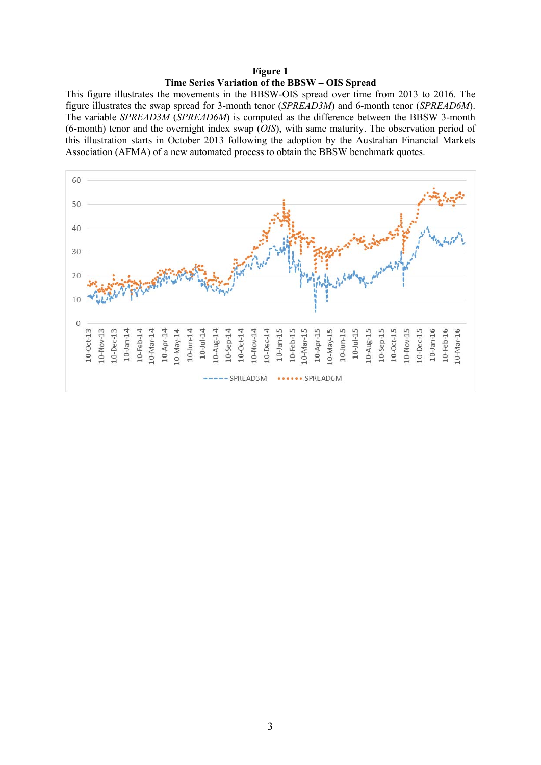# **Figure 1 Time Series Variation of the BBSW – OIS Spread**

This figure illustrates the movements in the BBSW-OIS spread over time from 2013 to 2016. The figure illustrates the swap spread for 3-month tenor (*SPREAD3M*) and 6-month tenor (*SPREAD6M*). The variable *SPREAD3M* (*SPREAD6M*) is computed as the difference between the BBSW 3-month (6-month) tenor and the overnight index swap (*OIS*), with same maturity. The observation period of this illustration starts in October 2013 following the adoption by the Australian Financial Markets Association (AFMA) of a new automated process to obtain the BBSW benchmark quotes.

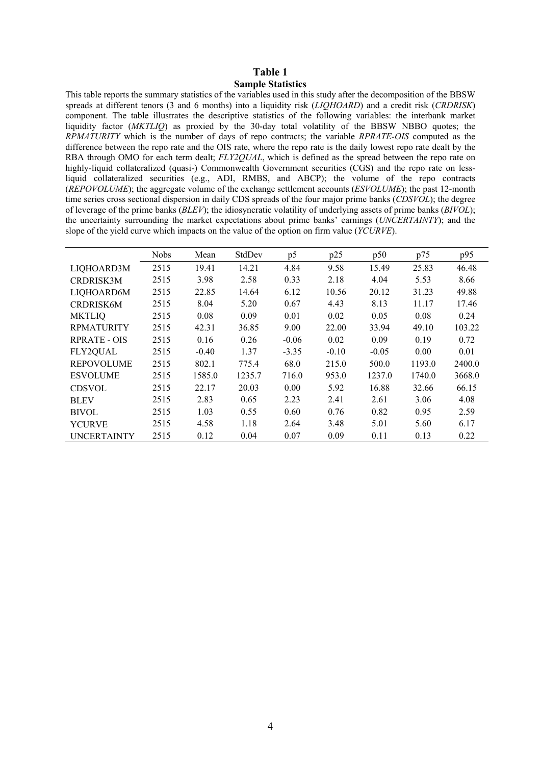## **Table 1 Sample Statistics**

This table reports the summary statistics of the variables used in this study after the decomposition of the BBSW spreads at different tenors (3 and 6 months) into a liquidity risk (*LIQHOARD*) and a credit risk (*CRDRISK*) component. The table illustrates the descriptive statistics of the following variables: the interbank market liquidity factor (*MKTLIQ*) as proxied by the 30-day total volatility of the BBSW NBBO quotes; the *RPMATURITY* which is the number of days of repo contracts; the variable *RPRATE-OIS* computed as the difference between the repo rate and the OIS rate, where the repo rate is the daily lowest repo rate dealt by the RBA through OMO for each term dealt; *FLY2QUAL*, which is defined as the spread between the repo rate on highly-liquid collateralized (quasi-) Commonwealth Government securities (CGS) and the repo rate on lessliquid collateralized securities (e.g., ADI, RMBS, and ABCP); the volume of the repo contracts (*REPOVOLUME*); the aggregate volume of the exchange settlement accounts (*ESVOLUME*); the past 12-month time series cross sectional dispersion in daily CDS spreads of the four major prime banks (*CDSVOL*); the degree of leverage of the prime banks (*BLEV*); the idiosyncratic volatility of underlying assets of prime banks (*BIVOL*); the uncertainty surrounding the market expectations about prime banks' earnings (*UNCERTAINTY*); and the slope of the yield curve which impacts on the value of the option on firm value (*YCURVE*).

|                     | <b>Nobs</b> | Mean    | StdDev | p5      | p25     | p50     | p75    | p95    |
|---------------------|-------------|---------|--------|---------|---------|---------|--------|--------|
| LIQHOARD3M          | 2515        | 19.41   | 14.21  | 4.84    | 9.58    | 15.49   | 25.83  | 46.48  |
| <b>CRDRISK3M</b>    | 2515        | 3.98    | 2.58   | 0.33    | 2.18    | 4.04    | 5.53   | 8.66   |
| LIQHOARD6M          | 2515        | 22.85   | 14.64  | 6.12    | 10.56   | 20.12   | 31.23  | 49.88  |
| <b>CRDRISK6M</b>    | 2515        | 8.04    | 5.20   | 0.67    | 4.43    | 8.13    | 11.17  | 17.46  |
| <b>MKTLIQ</b>       | 2515        | 0.08    | 0.09   | 0.01    | 0.02    | 0.05    | 0.08   | 0.24   |
| <b>RPMATURITY</b>   | 2515        | 42.31   | 36.85  | 9.00    | 22.00   | 33.94   | 49.10  | 103.22 |
| <b>RPRATE - OIS</b> | 2515        | 0.16    | 0.26   | $-0.06$ | 0.02    | 0.09    | 0.19   | 0.72   |
| FLY2QUAL            | 2515        | $-0.40$ | 1.37   | $-3.35$ | $-0.10$ | $-0.05$ | 0.00   | 0.01   |
| <b>REPOVOLUME</b>   | 2515        | 802.1   | 775.4  | 68.0    | 215.0   | 500.0   | 1193.0 | 2400.0 |
| <b>ESVOLUME</b>     | 2515        | 1585.0  | 1235.7 | 716.0   | 953.0   | 1237.0  | 1740.0 | 3668.0 |
| <b>CDSVOL</b>       | 2515        | 22.17   | 20.03  | 0.00    | 5.92    | 16.88   | 32.66  | 66.15  |
| <b>BLEV</b>         | 2515        | 2.83    | 0.65   | 2.23    | 2.41    | 2.61    | 3.06   | 4.08   |
| <b>BIVOL</b>        | 2515        | 1.03    | 0.55   | 0.60    | 0.76    | 0.82    | 0.95   | 2.59   |
| <b>YCURVE</b>       | 2515        | 4.58    | 1.18   | 2.64    | 3.48    | 5.01    | 5.60   | 6.17   |
| <b>UNCERTAINTY</b>  | 2515        | 0.12    | 0.04   | 0.07    | 0.09    | 0.11    | 0.13   | 0.22   |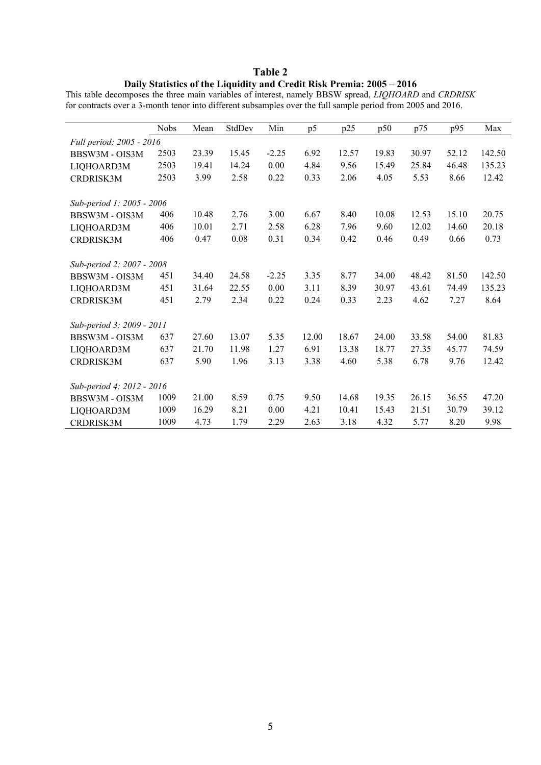# **Table 2**

#### **Daily Statistics of the Liquidity and Credit Risk Premia: 2005 – 2016**

This table decomposes the three main variables of interest, namely BBSW spread, *LIQHOARD* and *CRDRISK* for contracts over a 3-month tenor into different subsamples over the full sample period from 2005 and 2016.

|                           | <b>Nobs</b> | Mean  | StdDev | Min     | p5    | p25   | p50   | p75   | p95   | Max    |
|---------------------------|-------------|-------|--------|---------|-------|-------|-------|-------|-------|--------|
| Full period: 2005 - 2016  |             |       |        |         |       |       |       |       |       |        |
| BBSW3M - OIS3M            | 2503        | 23.39 | 15.45  | $-2.25$ | 6.92  | 12.57 | 19.83 | 30.97 | 52.12 | 142.50 |
| LIQHOARD3M                | 2503        | 19.41 | 14.24  | 0.00    | 4.84  | 9.56  | 15.49 | 25.84 | 46.48 | 135.23 |
| CRDRISK3M                 | 2503        | 3.99  | 2.58   | 0.22    | 0.33  | 2.06  | 4.05  | 5.53  | 8.66  | 12.42  |
|                           |             |       |        |         |       |       |       |       |       |        |
| Sub-period 1: 2005 - 2006 |             |       |        |         |       |       |       |       |       |        |
| BBSW3M - OIS3M            | 406         | 10.48 | 2.76   | 3.00    | 6.67  | 8.40  | 10.08 | 12.53 | 15.10 | 20.75  |
| LIQHOARD3M                | 406         | 10.01 | 2.71   | 2.58    | 6.28  | 7.96  | 9.60  | 12.02 | 14.60 | 20.18  |
| CRDRISK3M                 | 406         | 0.47  | 0.08   | 0.31    | 0.34  | 0.42  | 0.46  | 0.49  | 0.66  | 0.73   |
|                           |             |       |        |         |       |       |       |       |       |        |
| Sub-period 2: 2007 - 2008 |             |       |        |         |       |       |       |       |       |        |
| BBSW3M - OIS3M            | 451         | 34.40 | 24.58  | $-2.25$ | 3.35  | 8.77  | 34.00 | 48.42 | 81.50 | 142.50 |
| LIQHOARD3M                | 451         | 31.64 | 22.55  | 0.00    | 3.11  | 8.39  | 30.97 | 43.61 | 74.49 | 135.23 |
| <b>CRDRISK3M</b>          | 451         | 2.79  | 2.34   | 0.22    | 0.24  | 0.33  | 2.23  | 4.62  | 7.27  | 8.64   |
|                           |             |       |        |         |       |       |       |       |       |        |
| Sub-period 3: 2009 - 2011 |             |       |        |         |       |       |       |       |       |        |
| BBSW3M - OIS3M            | 637         | 27.60 | 13.07  | 5.35    | 12.00 | 18.67 | 24.00 | 33.58 | 54.00 | 81.83  |
| LIQHOARD3M                | 637         | 21.70 | 11.98  | 1.27    | 6.91  | 13.38 | 18.77 | 27.35 | 45.77 | 74.59  |
| <b>CRDRISK3M</b>          | 637         | 5.90  | 1.96   | 3.13    | 3.38  | 4.60  | 5.38  | 6.78  | 9.76  | 12.42  |
|                           |             |       |        |         |       |       |       |       |       |        |
| Sub-period 4: 2012 - 2016 |             |       |        |         |       |       |       |       |       |        |
| BBSW3M - OIS3M            | 1009        | 21.00 | 8.59   | 0.75    | 9.50  | 14.68 | 19.35 | 26.15 | 36.55 | 47.20  |
| LIQHOARD3M                | 1009        | 16.29 | 8.21   | 0.00    | 4.21  | 10.41 | 15.43 | 21.51 | 30.79 | 39.12  |
| CRDRISK3M                 | 1009        | 4.73  | 1.79   | 2.29    | 2.63  | 3.18  | 4.32  | 5.77  | 8.20  | 9.98   |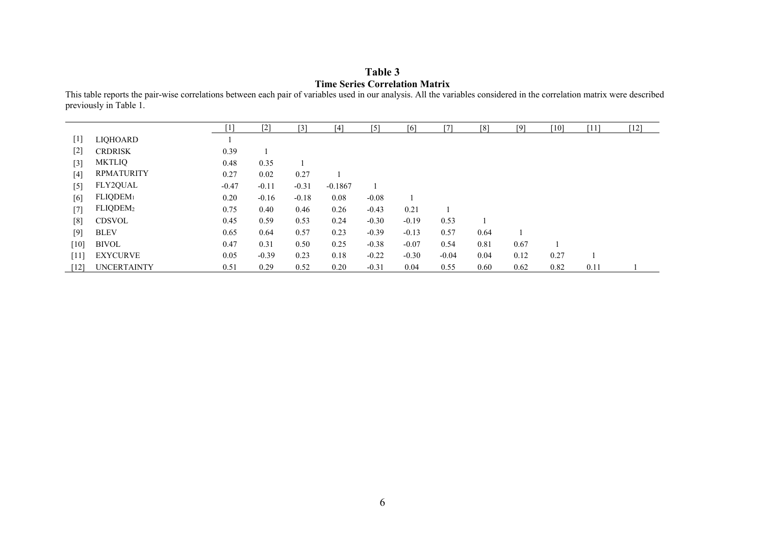#### **Table 3 Time Series Correlation Matrix**

This table reports the pair-wise correlations between each pair of variables used in our analysis. All the variables considered in the correlation matrix were described previously in Table 1.

|        |                      | $[1]$   | $[2]$   | [3]     | [4]       | [5]     | [6]     | [7]     | [8]  | [9]  | [10] | $[11]$ | $[12]$ |
|--------|----------------------|---------|---------|---------|-----------|---------|---------|---------|------|------|------|--------|--------|
| $[1]$  | LIQHOARD             |         |         |         |           |         |         |         |      |      |      |        |        |
| $[2]$  | <b>CRDRISK</b>       | 0.39    |         |         |           |         |         |         |      |      |      |        |        |
| $[3]$  | <b>MKTLIQ</b>        | 0.48    | 0.35    |         |           |         |         |         |      |      |      |        |        |
| $[4]$  | <b>RPMATURITY</b>    | 0.27    | 0.02    | 0.27    |           |         |         |         |      |      |      |        |        |
| $[5]$  | FLY2QUAL             | $-0.47$ | $-0.11$ | $-0.31$ | $-0.1867$ |         |         |         |      |      |      |        |        |
| [6]    | FLIQDEM <sub>1</sub> | 0.20    | $-0.16$ | $-0.18$ | 0.08      | $-0.08$ |         |         |      |      |      |        |        |
| $[7]$  | FLIQDEM2             | 0.75    | 0.40    | 0.46    | 0.26      | $-0.43$ | 0.21    |         |      |      |      |        |        |
| [8]    | <b>CDSVOL</b>        | 0.45    | 0.59    | 0.53    | 0.24      | $-0.30$ | $-0.19$ | 0.53    |      |      |      |        |        |
| $[9]$  | <b>BLEV</b>          | 0.65    | 0.64    | 0.57    | 0.23      | $-0.39$ | $-0.13$ | 0.57    | 0.64 |      |      |        |        |
| $[10]$ | BIVOL                | 0.47    | 0.31    | 0.50    | 0.25      | $-0.38$ | $-0.07$ | 0.54    | 0.81 | 0.67 |      |        |        |
| $[11]$ | <b>EXYCURVE</b>      | 0.05    | $-0.39$ | 0.23    | 0.18      | $-0.22$ | $-0.30$ | $-0.04$ | 0.04 | 0.12 | 0.27 |        |        |
| $[12]$ | <b>UNCERTAINTY</b>   | 0.51    | 0.29    | 0.52    | 0.20      | $-0.31$ | 0.04    | 0.55    | 0.60 | 0.62 | 0.82 | 0.11   |        |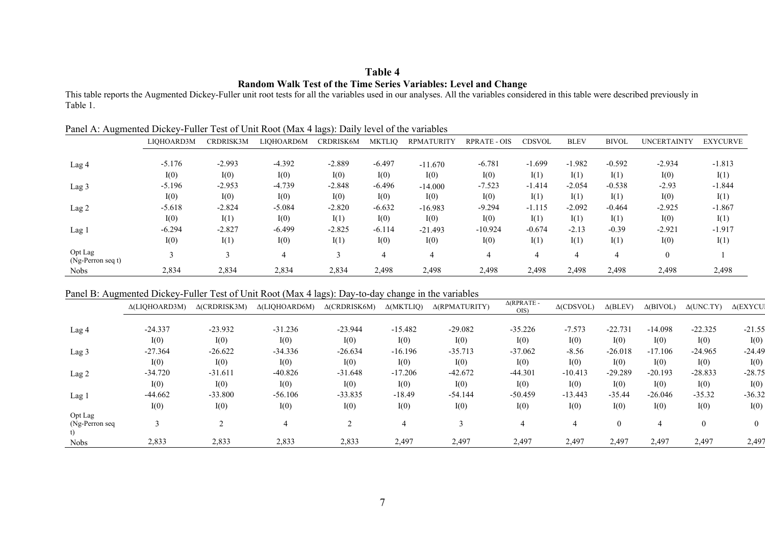## **Table 4 Random Walk Test of the Time Series Variables: Level and Change**

This table reports the Augmented Dickey-Fuller unit root tests for all the variables used in our analyses. All the variables considered in this table were described previously in Table 1.

|                              | LIOHOARD3M       | <b>CRDRISK3M</b> | LIOHOARD6M       | <b>CRDRISK6M</b> | MKTLIO           | <b>RPMATURITY</b> | <b>RPRATE - OIS</b> | <b>CDSVOL</b>    | <b>BLEV</b>      | <b>BIVOL</b>     | <b>UNCERTAINTY</b> | EXYCURVE         |
|------------------------------|------------------|------------------|------------------|------------------|------------------|-------------------|---------------------|------------------|------------------|------------------|--------------------|------------------|
| Lag <sub>4</sub>             | $-5.176$<br>I(0) | $-2.993$<br>I(0) | $-4.392$<br>I(0) | $-2.889$<br>I(0) | $-6.497$<br>I(0) | $-11.670$<br>I(0) | $-6.781$<br>I(0)    | $-1.699$<br>I(1) | $-1.982$<br>I(1) | $-0.592$<br>I(1) | $-2.934$<br>I(0)   | $-1.813$<br>I(1) |
| Lag 3                        | $-5.196$         | $-2.953$         | $-4.739$         | $-2.848$         | $-6.496$         | $-14.000$         | $-7.523$            | $-1.414$         | $-2.054$         | $-0.538$         | $-2.93$            | $-1.844$         |
| Lag <sub>2</sub>             | I(0)<br>$-5.618$ | I(0)<br>$-2.824$ | I(0)<br>$-5.084$ | I(0)<br>$-2.820$ | I(0)<br>$-6.632$ | I(0)<br>$-16.983$ | I(0)<br>$-9.294$    | I(1)<br>$-1.115$ | I(1)<br>$-2.092$ | I(1)<br>$-0.464$ | I(0)<br>$-2.925$   | I(1)<br>$-1.867$ |
| Lag1                         | I(0)<br>$-6.294$ | I(1)<br>$-2.827$ | I(0)<br>$-6.499$ | I(1)<br>$-2.825$ | I(0)<br>$-6.114$ | I(0)<br>$-21.493$ | I(0)<br>$-10.924$   | I(1)<br>$-0.674$ | I(1)<br>$-2.13$  | I(1)<br>$-0.39$  | I(0)<br>$-2.921$   | I(1)<br>$-1.917$ |
|                              | I(0)             | I(1)             | I(0)             | I(1)             | I(0)             | I(0)              | I(0)                | I(1)             | I(1)             | I(1)             | I(0)               | I(1)             |
| Opt Lag<br>(Ng-Perron seq t) |                  |                  | 4                |                  | 4                | 4                 | 4                   | 4                |                  | 4                | $\overline{0}$     |                  |
| <b>Nobs</b>                  | 2,834            | 2,834            | 2,834            | 2,834            | 2,498            | 2,498             | 2,498               | 2,498            | 2,498            | 2,498            | 2,498              | 2,498            |

Panel A: Augmented Dickey-Fuller Test of Unit Root (Max 4 lags): Daily level of the variables

|  | Panel B: Augmented Dickey-Fuller Test of Unit Root (Max 4 lags): Day-to-day change in the variables |
|--|-----------------------------------------------------------------------------------------------------|
|  |                                                                                                     |

|                  | Δ(LIQHOARD3M) | $\Delta$ (CRDRISK3M) | Δ(LIQHOARD6M) | $\Delta$ (CRDRISK6M) | $\Delta$ (MKTLIQ) | <b><i><u>A(RPMATURITY)</u></i></b> | $\triangle$ (RPRATE -<br>OIS) | $\triangle$ (CDSVOL) | $\Delta$ (BLEV) | $\Delta$ (BIVOL) | $\Delta$ (UNC.TY) | $\Delta$ (EXYCU) |
|------------------|---------------|----------------------|---------------|----------------------|-------------------|------------------------------------|-------------------------------|----------------------|-----------------|------------------|-------------------|------------------|
|                  |               |                      |               |                      |                   |                                    |                               |                      |                 |                  |                   |                  |
| Lag 4            | $-24.337$     | $-23.932$            | $-31.236$     | $-23.944$            | $-15.482$         | $-29.082$                          | $-35.226$                     | $-7.573$             | $-22.731$       | $-14.098$        | $-22.325$         | $-21.55$         |
|                  | I(0)          | I(0)                 | I(0)          | I(0)                 | I(0)              | I(0)                               | I(0)                          | I(0)                 | I(0)            | I(0)             | I(0)              | I(0)             |
| Lag 3            | $-27.364$     | $-26.622$            | $-34.336$     | $-26.634$            | $-16.196$         | $-35.713$                          | $-37.062$                     | $-8.56$              | $-26.018$       | $-17.106$        | $-24.965$         | $-24.49$         |
|                  | I(0)          | I(0)                 | I(0)          | I(0)                 | I(0)              | I(0)                               | I(0)                          | I(0)                 | I(0)            | I(0)             | I(0)              | I(0)             |
| Lag <sub>2</sub> | $-34.720$     | $-31.611$            | $-40.826$     | $-31.648$            | $-17.206$         | $-42.672$                          | $-44.301$                     | $-10.413$            | $-29.289$       | $-20.193$        | $-28.833$         | $-28.75$         |
|                  | I(0)          | I(0)                 | I(0)          | I(0)                 | I(0)              | I(0)                               | I(0)                          | I(0)                 | I(0)            | I(0)             | I(0)              | I(0)             |
| Lag 1            | $-44.662$     | $-33.800$            | $-56.106$     | $-33.835$            | $-18.49$          | $-54.144$                          | $-50.459$                     | $-13.443$            | $-35.44$        | $-26.046$        | $-35.32$          | $-36.32$         |
|                  | I(0)          | I(0)                 | I(0)          | I(0)                 | I(0)              | I(0)                               | I(0)                          | I(0)                 | I(0)            | I(0)             | I(0)              | I(0)             |
| Opt Lag          |               |                      |               |                      |                   |                                    |                               |                      |                 |                  |                   |                  |
| (Ng-Perron seq   |               | $\sim$               |               | ◠                    | 4                 |                                    |                               | 4                    | $\Omega$        | 4                | $\overline{0}$    | O                |
|                  |               |                      |               |                      |                   |                                    |                               |                      |                 |                  |                   |                  |
| Nobs             | 2,833         | 2,833                | 2,833         | 2,833                | 2,497             | 2,497                              | 2,497                         | 2,497                | 2,497           | 2,497            | 2,497             | 2,497            |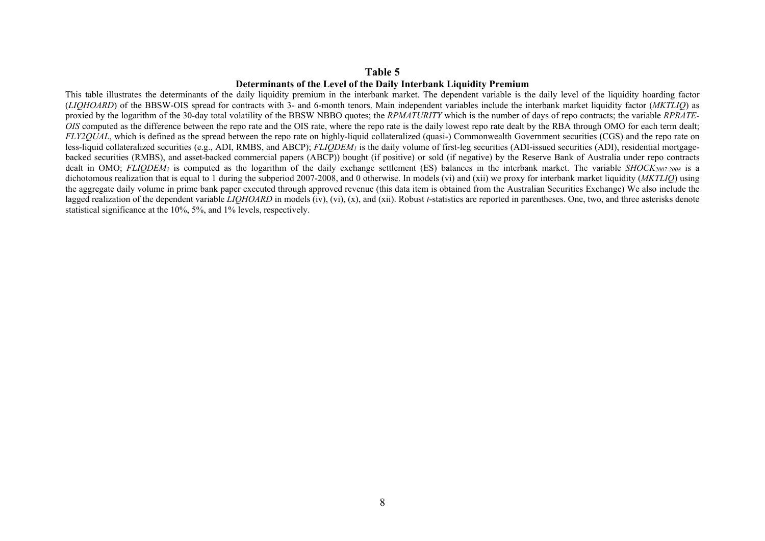# **Table 5 Determinants of the Level of the Daily Interbank Liquidity Premium**

This table illustrates the determinants of the daily liquidity premium in the interbank market. The dependent variable is the daily level of the liquidity hoarding factor (*LIQHOARD*) of the BBSW-OIS spread for contracts with 3- and 6-month tenors. Main independent variables include the interbank market liquidity factor (*MKTLIQ*) as proxied by the logarithm of the 30-day total volatility of the BBSW NBBO quotes; the *RPMATURITY* which is the number of days of repo contracts; the variable *RPRATE*-*OIS* computed as the difference between the repo rate and the OIS rate, where the repo rate is the daily lowest repo rate dealt by the RBA through OMO for each term dealt; *FLY2QUAL*, which is defined as the spread between the repo rate on highly-liquid collateralized (quasi-) Commonwealth Government securities (CGS) and the repo rate on less-liquid collateralized securities (e.g., ADI, RMBS, and ABCP); *FLIODEM<sub>1</sub>* is the daily volume of first-leg securities (ADI-issued securities (ADI), residential mortgagebacked securities (RMBS), and asset-backed commercial papers (ABCP)) bought (if positive) or sold (if negative) by the Reserve Bank of Australia under repo contracts dealt in OMO; *FLIODEM*<sub>2</sub> is computed as the logarithm of the daily exchange settlement (ES) balances in the interbank market. The variable *SHOCK<sub>2007-2008</sub>* is a dichotomous realization that is equal to 1 during the subperiod 2007-2008, and 0 otherwise. In models (vi) and (xii) we proxy for interbank market liquidity (*MKTLIO*) using the aggregate daily volume in prime bank paper executed through approved revenue (this data item is obtained from the Australian Securities Exchange) We also include the lagged realization of the dependent variable *LIOHOARD* in models (iv), (vi), (x), and (xii). Robust *t*-statistics are reported in parentheses. One, two, and three asterisks denote statistical significance at the 10%, 5%, and 1% levels, respectively.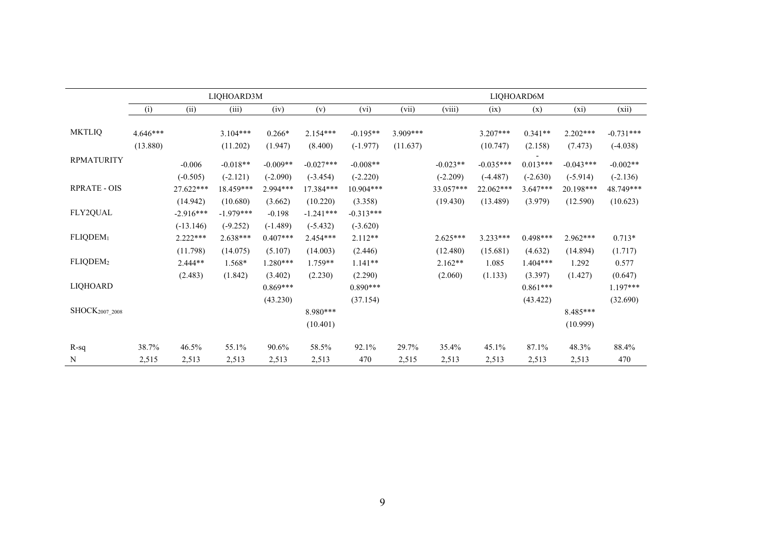|                      |            |             | LIQHOARD3M  |            |             |             |            |            |             | LIQHOARD6M |             |             |
|----------------------|------------|-------------|-------------|------------|-------------|-------------|------------|------------|-------------|------------|-------------|-------------|
|                      | (i)        | (ii)        | (iii)       | (iv)       | (v)         | (vi)        | (vii)      | (viii)     | (ix)        | (x)        | $(x_i)$     | (xii)       |
| <b>MKTLIQ</b>        | $4.646***$ |             | $3.104***$  | $0.266*$   | $2.154***$  | $-0.195**$  | $3.909***$ |            | $3.207***$  | $0.341**$  | $2.202***$  | $-0.731***$ |
|                      | (13.880)   |             | (11.202)    | (1.947)    | (8.400)     | $(-1.977)$  | (11.637)   |            | (10.747)    | (2.158)    | (7.473)     | $(-4.038)$  |
| <b>RPMATURITY</b>    |            | $-0.006$    | $-0.018**$  | $-0.009**$ | $-0.027***$ | $-0.008**$  |            | $-0.023**$ | $-0.035***$ | $0.013***$ | $-0.043***$ | $-0.002**$  |
|                      |            | $(-0.505)$  | $(-2.121)$  | $(-2.090)$ | $(-3.454)$  | $(-2.220)$  |            | $(-2.209)$ | $(-4.487)$  | $(-2.630)$ | $(-5.914)$  | $(-2.136)$  |
| <b>RPRATE - OIS</b>  |            | 27.622***   | 18.459***   | 2.994***   | 17.384***   | 10.904***   |            | 33.057***  | 22.062***   | $3.647***$ | 20.198***   | 48.749***   |
|                      |            | (14.942)    | (10.680)    | (3.662)    | (10.220)    | (3.358)     |            | (19.430)   | (13.489)    | (3.979)    | (12.590)    | (10.623)    |
| FLY2QUAL             |            | $-2.916***$ | $-1.979***$ | $-0.198$   | $-1.241***$ | $-0.313***$ |            |            |             |            |             |             |
|                      |            | $(-13.146)$ | $(-9.252)$  | $(-1.489)$ | $(-5.432)$  | $(-3.620)$  |            |            |             |            |             |             |
| FLIQDEM <sub>1</sub> |            | $2.222***$  | $2.638***$  | $0.407***$ | $2.454***$  | $2.112**$   |            | $2.625***$ | $3.233***$  | $0.498***$ | $2.962***$  | $0.713*$    |
|                      |            | (11.798)    | (14.075)    | (5.107)    | (14.003)    | (2.446)     |            | (12.480)   | (15.681)    | (4.632)    | (14.894)    | (1.717)     |
| FLIQDEM2             |            | $2.444**$   | $1.568*$    | $1.280***$ | $1.759**$   | $1.141**$   |            | $2.162**$  | 1.085       | $1.404***$ | 1.292       | 0.577       |
|                      |            | (2.483)     | (1.842)     | (3.402)    | (2.230)     | (2.290)     |            | (2.060)    | (1.133)     | (3.397)    | (1.427)     | (0.647)     |
| LIQHOARD             |            |             |             | $0.869***$ |             | $0.890***$  |            |            |             | $0.861***$ |             | 1.197***    |
|                      |            |             |             | (43.230)   |             | (37.154)    |            |            |             | (43.422)   |             | (32.690)    |
| SHOCK2007_2008       |            |             |             |            | 8.980***    |             |            |            |             |            | $8.485***$  |             |
|                      |            |             |             |            | (10.401)    |             |            |            |             |            | (10.999)    |             |
| $R-sq$               | 38.7%      | 46.5%       | 55.1%       | 90.6%      | 58.5%       | 92.1%       | 29.7%      | 35.4%      | 45.1%       | 87.1%      | 48.3%       | 88.4%       |
| N                    | 2,515      | 2,513       | 2,513       | 2,513      | 2,513       | 470         | 2,515      | 2,513      | 2,513       | 2,513      | 2,513       | 470         |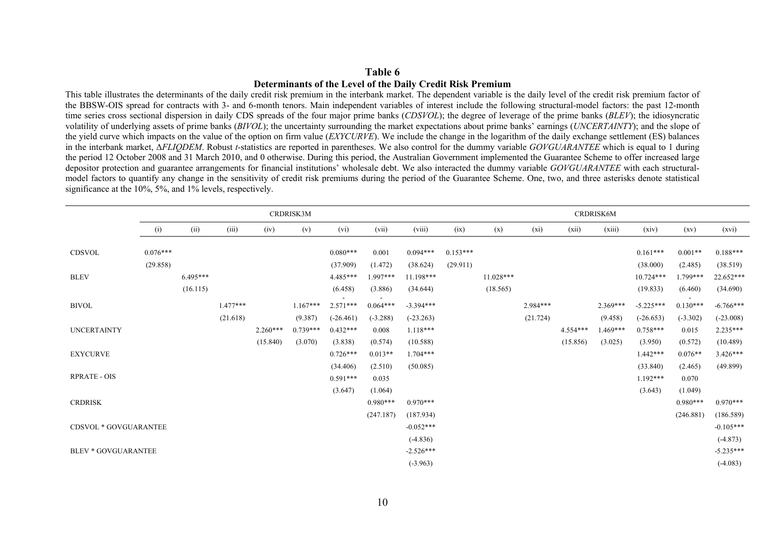# **Table 6 Determinants of the Level of the Daily Credit Risk Premium**

This table illustrates the determinants of the daily credit risk premium in the interbank market. The dependent variable is the daily level of the credit risk premium factor of the BBSW-OIS spread for contracts with 3- and 6-month tenors. Main independent variables of interest include the following structural-model factors: the past 12-month time series cross sectional dispersion in daily CDS spreads of the four major prime banks (*CDSVOL*); the degree of leverage of the prime banks (*BLEV*); the idiosyncratic volatility of underlying assets of prime banks (*BIVOL*); the uncertainty surrounding the market expectations about prime banks' earnings (*UNCERTAINTY*); and the slope of the yield curve which impacts on the value of the option on firm value (*EXYCURVE*). We include the change in the logarithm of the daily exchange settlement (ES) balances in the interbank market, Δ*FLIQDEM*. Robust *t*-statistics are reported in parentheses. We also control for the dummy variable *GOVGUARANTEE* which is equal to 1 during the period 12 October 2008 and 31 March 2010, and 0 otherwise. During this period, the Australian Government implemented the Guarantee Scheme to offer increased large depositor protection and guarantee arrangements for financial institutions' wholesale debt. We also interacted the dummy variable *GOVGUARANTEE* with each structuralmodel factors to quantify any change in the sensitivity of credit risk premiums during the period of the Guarantee Scheme. One, two, and three asterisks denote statistical significance at the 10%, 5%, and 1% levels, respectively.

|                              |            |            |            |            | CRDRISK3M  |             |            |             |            |             |          |            | CRDRISK6M  |             |                                        |             |
|------------------------------|------------|------------|------------|------------|------------|-------------|------------|-------------|------------|-------------|----------|------------|------------|-------------|----------------------------------------|-------------|
|                              | (i)        | (ii)       | (iii)      | (iv)       | (v)        | (vi)        | (vii)      | (viii)      | (ix)       | (x)         | $(x_i)$  | (xii)      | (xiii)     | (xiv)       | (xv)                                   | (xvi)       |
| <b>CDSVOL</b>                | $0.076***$ |            |            |            |            | $0.080***$  | 0.001      | $0.094***$  | $0.153***$ |             |          |            |            | $0.161***$  | $0.001**$                              | $0.188***$  |
|                              | (29.858)   |            |            |            |            | (37.909)    | (1.472)    | (38.624)    | (29.911)   |             |          |            |            | (38.000)    | (2.485)                                | (38.519)    |
| <b>BLEV</b>                  |            | $6.495***$ |            |            |            | $4.485***$  | 1.997***   | 11.198***   |            | $11.028***$ |          |            |            | 10.724***   | 1.799***                               | 22.652***   |
|                              |            | (16.115)   |            |            |            | (6.458)     | (3.886)    | (34.644)    |            | (18.565)    |          |            |            | (19.833)    | (6.460)                                | (34.690)    |
| <b>BIVOL</b>                 |            |            | $1.477***$ |            | $1.167***$ | $2.571***$  | $0.064***$ | $-3.394***$ |            |             | 2.984*** |            | $2.369***$ | $-5.225***$ | $\overline{\phantom{a}}$<br>$0.130***$ | $-6.766***$ |
|                              |            |            | (21.618)   |            | (9.387)    | $(-26.461)$ | $(-3.288)$ | $(-23.263)$ |            |             | (21.724) |            | (9.458)    | $(-26.653)$ | $(-3.302)$                             | $(-23.008)$ |
| <b>UNCERTAINTY</b>           |            |            |            | $2.260***$ | $0.739***$ | $0.432***$  | 0.008      | $1.118***$  |            |             |          | $4.554***$ | $1.469***$ | $0.758***$  | 0.015                                  | $2.235***$  |
|                              |            |            |            | (15.840)   | (3.070)    | (3.838)     | (0.574)    | (10.588)    |            |             |          | (15.856)   | (3.025)    | (3.950)     | (0.572)                                | (10.489)    |
| <b>EXYCURVE</b>              |            |            |            |            |            | $0.726***$  | $0.013**$  | $1.704***$  |            |             |          |            |            | $1.442***$  | $0.076**$                              | $3.426***$  |
|                              |            |            |            |            |            | (34.406)    | (2.510)    | (50.085)    |            |             |          |            |            | (33.840)    | (2.465)                                | (49.899)    |
| <b>RPRATE - OIS</b>          |            |            |            |            |            | $0.591***$  | 0.035      |             |            |             |          |            |            | $1.192***$  | 0.070                                  |             |
|                              |            |            |            |            |            | (3.647)     | (1.064)    |             |            |             |          |            |            | (3.643)     | (1.049)                                |             |
| <b>CRDRISK</b>               |            |            |            |            |            |             | $0.980***$ | $0.970***$  |            |             |          |            |            |             | $0.980***$                             | $0.970***$  |
|                              |            |            |            |            |            |             | (247.187)  | (187.934)   |            |             |          |            |            |             | (246.881)                              | (186.589)   |
| <b>CDSVOL * GOVGUARANTEE</b> |            |            |            |            |            |             |            | $-0.052***$ |            |             |          |            |            |             |                                        | $-0.105***$ |
|                              |            |            |            |            |            |             |            | $(-4.836)$  |            |             |          |            |            |             |                                        | $(-4.873)$  |
| <b>BLEV * GOVGUARANTEE</b>   |            |            |            |            |            |             |            | $-2.526***$ |            |             |          |            |            |             |                                        | $-5.235***$ |
|                              |            |            |            |            |            |             |            | $(-3.963)$  |            |             |          |            |            |             |                                        | $(-4.083)$  |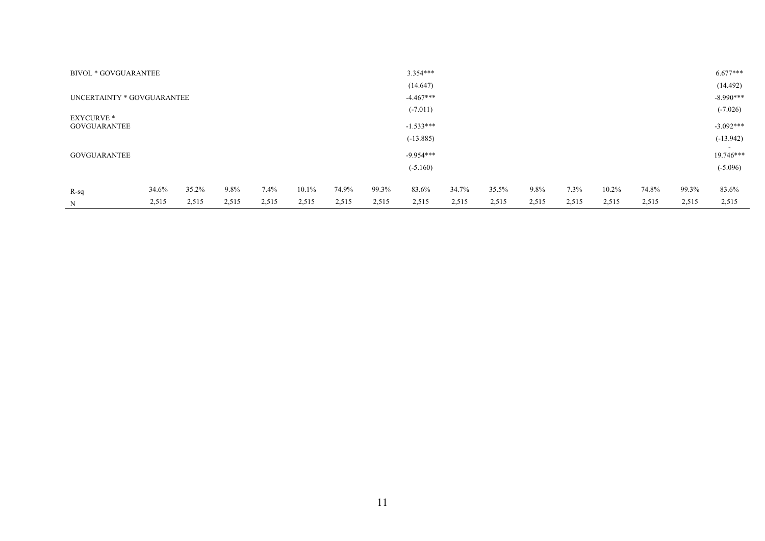| BIVOL * GOVGUARANTEE                     |       |       |       |       |       |       |       | $3.354***$  |       |       |       |         |       |       |       | $6.677***$  |
|------------------------------------------|-------|-------|-------|-------|-------|-------|-------|-------------|-------|-------|-------|---------|-------|-------|-------|-------------|
|                                          |       |       |       |       |       |       |       | (14.647)    |       |       |       |         |       |       |       | (14.492)    |
| UNCERTAINTY * GOVGUARANTEE               |       |       |       |       |       |       |       | $-4.467***$ |       |       |       |         |       |       |       | $-8.990***$ |
|                                          |       |       |       |       |       |       |       | $(-7.011)$  |       |       |       |         |       |       |       | $(-7.026)$  |
| <b>EXYCURVE *</b><br><b>GOVGUARANTEE</b> |       |       |       |       |       |       |       | $-1.533***$ |       |       |       |         |       |       |       | $-3.092***$ |
|                                          |       |       |       |       |       |       |       | $(-13.885)$ |       |       |       |         |       |       |       | $(-13.942)$ |
| <b>GOVGUARANTEE</b>                      |       |       |       |       |       |       |       | $-9.954***$ |       |       |       |         |       |       |       | 19.746***   |
|                                          |       |       |       |       |       |       |       | $(-5.160)$  |       |       |       |         |       |       |       | $(-5.096)$  |
| $R-sq$                                   | 34.6% | 35.2% | 9.8%  | 7.4%  | 10.1% | 74.9% | 99.3% | 83.6%       | 34.7% | 35.5% | 9.8%  | $7.3\%$ | 10.2% | 74.8% | 99.3% | 83.6%       |
| N                                        | 2,515 | 2,515 | 2,515 | 2,515 | 2,515 | 2,515 | 2,515 | 2,515       | 2,515 | 2,515 | 2,515 | 2,515   | 2,515 | 2,515 | 2,515 | 2,515       |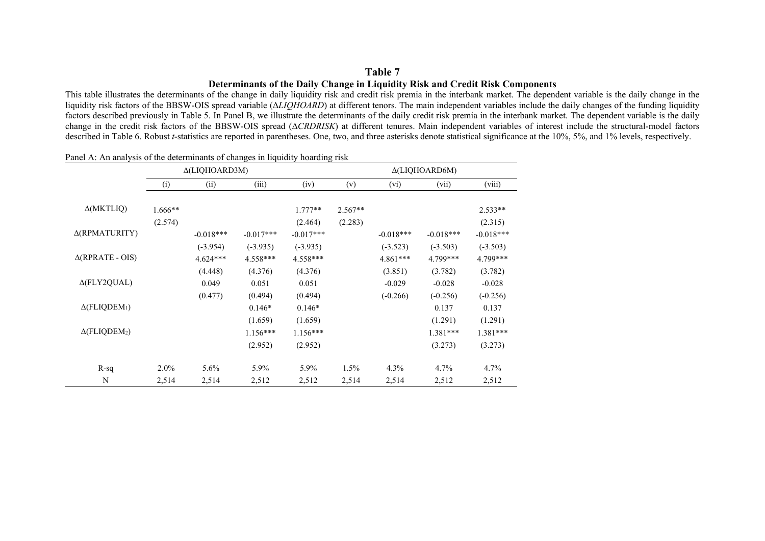# **Table 7 Determinants of the Daily Change in Liquidity Risk and Credit Risk Components**

This table illustrates the determinants of the change in daily liquidity risk and credit risk premia in the interbank market. The dependent variable is the daily change in the liquidity risk factors of the BBSW-OIS spread variable (Δ*LIQHOARD*) at different tenors. The main independent variables include the daily changes of the funding liquidity factors described previously in Table 5. In Panel B, we illustrate the determinants of the daily credit risk premia in the interbank market. The dependent variable is the daily change in the credit risk factors of the BBSW-OIS spread (Δ*CRDRISK*) at different tenures. Main independent variables of interest include the structural-model factors described in Table 6. Robust *t*-statistics are reported in parentheses. One, two, and three asterisks denote statistical significance at the 10%, 5%, and 1% levels, respectively.

|                                  |           | Δ(LIQHOARD3M) |             |             |           |             | Δ(LIQHOARD6M) |             |
|----------------------------------|-----------|---------------|-------------|-------------|-----------|-------------|---------------|-------------|
|                                  | (i)       | (ii)          | (iii)       | (iv)        | (v)       | (vi)        | (vii)         | (viii)      |
| $\Delta$ (MKTLIQ)                | $1.666**$ |               |             | $1.777**$   | $2.567**$ |             |               | $2.533**$   |
|                                  | (2.574)   |               |             | (2.464)     | (2.283)   |             |               | (2.315)     |
| Δ(RPMATURITY)                    |           | $-0.018***$   | $-0.017***$ | $-0.017***$ |           | $-0.018***$ | $-0.018***$   | $-0.018***$ |
|                                  |           | $(-3.954)$    | $(-3.935)$  | $(-3.935)$  |           | $(-3.523)$  | $(-3.503)$    | $(-3.503)$  |
| $\Delta$ (RPRATE - OIS)          |           | $4.624***$    | 4.558***    | $4.558***$  |           | 4.861***    | 4.799***      | 4.799***    |
|                                  |           | (4.448)       | (4.376)     | (4.376)     |           | (3.851)     | (3.782)       | (3.782)     |
| $\Delta$ (FLY2QUAL)              |           | 0.049         | 0.051       | 0.051       |           | $-0.029$    | $-0.028$      | $-0.028$    |
|                                  |           | (0.477)       | (0.494)     | (0.494)     |           | $(-0.266)$  | $(-0.256)$    | $(-0.256)$  |
| $\Delta$ (FLIQDEM <sub>1</sub> ) |           |               | $0.146*$    | $0.146*$    |           |             | 0.137         | 0.137       |
|                                  |           |               | (1.659)     | (1.659)     |           |             | (1.291)       | (1.291)     |
| $\Delta$ (FLIQDEM <sub>2</sub> ) |           |               | $1.156***$  | $1.156***$  |           |             | $1.381***$    | $1.381***$  |
|                                  |           |               | (2.952)     | (2.952)     |           |             | (3.273)       | (3.273)     |
| $R-sq$                           | $2.0\%$   | 5.6%          | 5.9%        | 5.9%        | 1.5%      | 4.3%        | 4.7%          | 4.7%        |
| N                                | 2,514     | 2,514         | 2,512       | 2,512       | 2,514     | 2,514       | 2,512         | 2,512       |

Panel A: An analysis of the determinants of changes in liquidity hoarding risk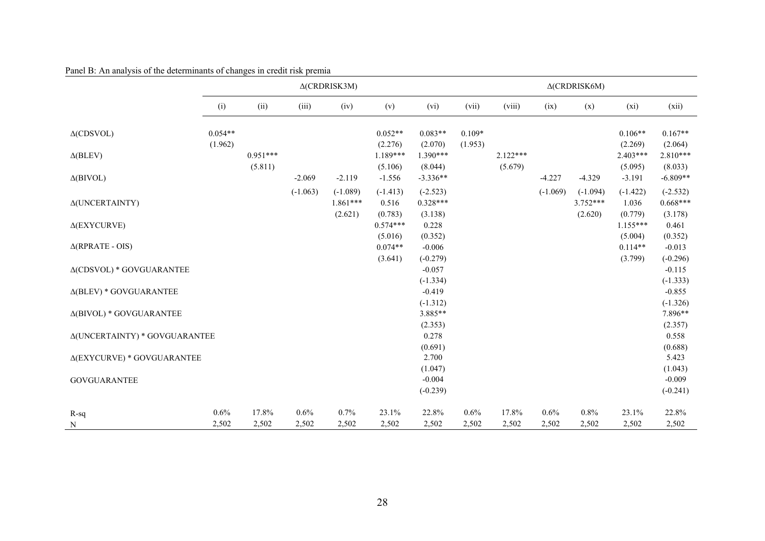|                                    |                      |            |            | $\Delta$ (CRDRISK3M)                |                                |                                      |                     |            |            | $\Delta$ (CRDRISK6M)                |                                |                                      |
|------------------------------------|----------------------|------------|------------|-------------------------------------|--------------------------------|--------------------------------------|---------------------|------------|------------|-------------------------------------|--------------------------------|--------------------------------------|
|                                    | (i)                  | (ii)       | (iii)      | (iv)                                | (v)                            | (vi)                                 | (vii)               | (viii)     | (ix)       | (x)                                 | $(x_i)$                        | (xii)                                |
| $\Delta$ (CDSVOL)                  | $0.054**$<br>(1.962) |            |            |                                     | $0.052**$<br>(2.276)           | $0.083**$<br>(2.070)                 | $0.109*$<br>(1.953) |            |            |                                     | $0.106**$<br>(2.269)           | $0.167**$<br>(2.064)                 |
| $\Delta$ (BLEV)                    |                      | $0.951***$ |            |                                     | 1.189***                       | $1.390***$                           |                     | $2.122***$ |            |                                     | 2.403***                       | $2.810***$                           |
| $\Delta$ (BIVOL)                   |                      | (5.811)    | $-2.069$   | $-2.119$                            | (5.106)<br>$-1.556$            | (8.044)<br>$-3.336**$                |                     | (5.679)    | $-4.227$   | $-4.329$                            | (5.095)<br>$-3.191$            | (8.033)<br>$-6.809**$                |
| Δ(UNCERTAINTY)                     |                      |            | $(-1.063)$ | $(-1.089)$<br>$1.861***$<br>(2.621) | $(-1.413)$<br>0.516<br>(0.783) | $(-2.523)$<br>$0.328***$<br>(3.138)  |                     |            | $(-1.069)$ | $(-1.094)$<br>$3.752***$<br>(2.620) | $(-1.422)$<br>1.036<br>(0.779) | $(-2.532)$<br>$0.668***$<br>(3.178)  |
| $\Delta$ (EXYCURVE)                |                      |            |            |                                     | $0.574***$                     | 0.228                                |                     |            |            |                                     | $1.155***$                     | 0.461                                |
| $\Delta$ (RPRATE - OIS)            |                      |            |            |                                     | (5.016)<br>$0.074**$           | (0.352)<br>$-0.006$                  |                     |            |            |                                     | (5.004)<br>$0.114**$           | (0.352)<br>$-0.013$                  |
| Δ(CDSVOL) * GOVGUARANTEE           |                      |            |            |                                     | (3.641)                        | $(-0.279)$<br>$-0.057$<br>$(-1.334)$ |                     |            |            |                                     | (3.799)                        | $(-0.296)$<br>$-0.115$               |
| $\Delta$ (BLEV) * GOVGUARANTEE     |                      |            |            |                                     |                                | $-0.419$<br>$(-1.312)$               |                     |            |            |                                     |                                | $(-1.333)$<br>$-0.855$<br>$(-1.326)$ |
| $\Delta$ (BIVOL) * GOVGUARANTEE    |                      |            |            |                                     |                                | $3.885**$<br>(2.353)                 |                     |            |            |                                     |                                | 7.896**<br>(2.357)                   |
| Δ(UNCERTAINTY) * GOVGUARANTEE      |                      |            |            |                                     |                                | 0.278<br>(0.691)                     |                     |            |            |                                     |                                | 0.558<br>(0.688)                     |
| $\Delta$ (EXYCURVE) * GOVGUARANTEE |                      |            |            |                                     |                                | 2.700                                |                     |            |            |                                     |                                | 5.423                                |
| <b>GOVGUARANTEE</b>                |                      |            |            |                                     |                                | (1.047)<br>$-0.004$<br>$(-0.239)$    |                     |            |            |                                     |                                | (1.043)<br>$-0.009$<br>$(-0.241)$    |
| R-sq                               | 0.6%                 | 17.8%      | 0.6%       | 0.7%                                | 23.1%                          | 22.8%                                | 0.6%                | 17.8%      | 0.6%       | 0.8%                                | 23.1%                          | 22.8%                                |
| $\mathbf N$                        | 2,502                | 2,502      | 2,502      | 2,502                               | 2,502                          | 2,502                                | 2,502               | 2,502      | 2,502      | 2,502                               | 2,502                          | 2,502                                |

## Panel B: An analysis of the determinants of changes in credit risk premia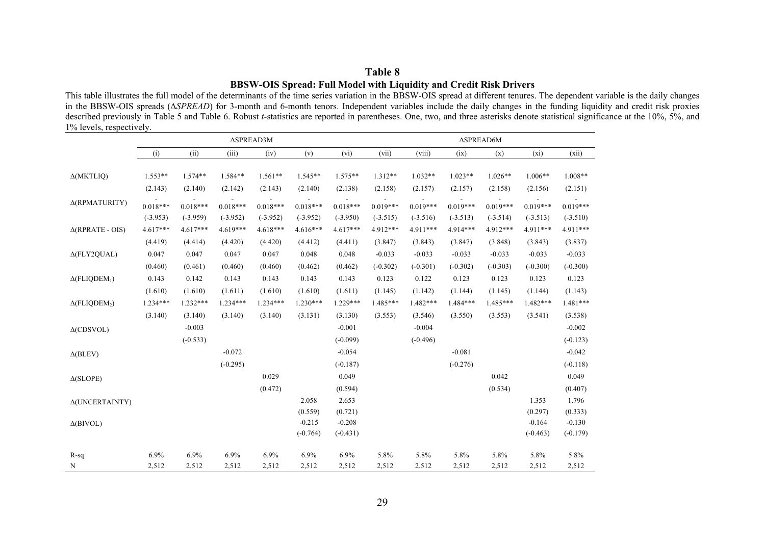# **Table 8 BBSW-OIS Spread: Full Model with Liquidity and Credit Risk Drivers**

This table illustrates the full model of the determinants of the time series variation in the BBSW-OIS spread at different tenures. The dependent variable is the daily changes in the BBSW-OIS spreads (Δ*SPREAD*) for 3-month and 6-month tenors. Independent variables include the daily changes in the funding liquidity and credit risk proxies described previously in Table 5 and Table 6. Robust *t*-statistics are reported in parentheses. One, two, and three asterisks denote statistical significance at the 10%, 5%, and 1% levels, respectively.

|                                  |                          |                          |                          | ΔSPREAD3M                |                          |                          |                          |                          |                          | <b>ASPREAD6M</b>         |                          |                          |
|----------------------------------|--------------------------|--------------------------|--------------------------|--------------------------|--------------------------|--------------------------|--------------------------|--------------------------|--------------------------|--------------------------|--------------------------|--------------------------|
|                                  | (i)                      | (ii)                     | (iii)                    | (iv)                     | (v)                      | (vi)                     | (vii)                    | (viii)                   | (ix)                     | (x)                      | (xi)                     | (xii)                    |
| $\Delta$ (MKTLIQ)                | $1.553**$<br>(2.143)     | $1.574**$<br>(2.140)     | 1.584**<br>(2.142)       | $1.561**$<br>(2.143)     | $1.545**$<br>(2.140)     | $1.575**$<br>(2.138)     | $1.312**$<br>(2.158)     | $1.032**$<br>(2.157)     | $1.023**$<br>(2.157)     | $1.026**$<br>(2.158)     | $1.006**$<br>(2.156)     | $1.008**$<br>(2.151)     |
| Δ(RPMATURITY)                    | $0.018***$<br>$(-3.953)$ | $0.018***$<br>$(-3.959)$ | $0.018***$<br>$(-3.952)$ | $0.018***$<br>$(-3.952)$ | $0.018***$<br>$(-3.952)$ | $0.018***$<br>$(-3.950)$ | $0.019***$<br>$(-3.515)$ | $0.019***$<br>$(-3.516)$ | $0.019***$<br>$(-3.513)$ | $0.019***$<br>$(-3.514)$ | $0.019***$<br>$(-3.513)$ | $0.019***$<br>$(-3.510)$ |
| $\Delta$ (RPRATE - OIS)          | $4.617***$               | $4.617***$               | $4.619***$               | 4.618***                 | $4.616***$               | $4.617***$               | 4.912***                 | 4.911***                 | 4.914***                 | 4.912***                 | 4.911***                 | 4.911***                 |
|                                  | (4.419)                  | (4.414)                  | (4.420)                  | (4.420)                  | (4.412)                  | (4.411)                  | (3.847)                  | (3.843)                  | (3.847)                  | (3.848)                  | (3.843)                  | (3.837)                  |
| $\Delta$ (FLY2QUAL)              | 0.047                    | 0.047                    | 0.047                    | 0.047                    | 0.048                    | 0.048                    | $-0.033$                 | $-0.033$                 | $-0.033$                 | $-0.033$                 | $-0.033$                 | $-0.033$                 |
|                                  | (0.460)                  | (0.461)                  | (0.460)                  | (0.460)                  | (0.462)                  | (0.462)                  | $(-0.302)$               | $(-0.301)$               | $(-0.302)$               | $(-0.303)$               | $(-0.300)$               | $(-0.300)$               |
| $\Delta$ (FLIQDEM <sub>1</sub> ) | 0.143                    | 0.142                    | 0.143                    | 0.143                    | 0.143                    | 0.143                    | 0.123                    | 0.122                    | 0.123                    | 0.123                    | 0.123                    | 0.123                    |
|                                  | (1.610)                  | (1.610)                  | (1.611)                  | (1.610)                  | (1.610)                  | (1.611)                  | (1.145)                  | (1.142)                  | (1.144)                  | (1.145)                  | (1.144)                  | (1.143)                  |
| $\Delta$ (FLIQDEM <sub>2</sub> ) | $1.234***$               | $1.232***$               | $1.234***$               | $1.234***$               | $1.230***$               | $1.229***$               | $1.485***$               | 1.482***                 | $1.484***$               | $1.485***$               | $1.482***$               | $1.481***$               |
|                                  | (3.140)                  | (3.140)                  | (3.140)                  | (3.140)                  | (3.131)                  | (3.130)                  | (3.553)                  | (3.546)                  | (3.550)                  | (3.553)                  | (3.541)                  | (3.538)                  |
| $\Delta$ (CDSVOL)                |                          | $-0.003$                 |                          |                          |                          | $-0.001$                 |                          | $-0.004$                 |                          |                          |                          | $-0.002$                 |
|                                  |                          | $(-0.533)$               |                          |                          |                          | $(-0.099)$               |                          | $(-0.496)$               |                          |                          |                          | $(-0.123)$               |
| $\Delta$ (BLEV)                  |                          |                          | $-0.072$                 |                          |                          | $-0.054$                 |                          |                          | $-0.081$                 |                          |                          | $-0.042$                 |
|                                  |                          |                          | $(-0.295)$               |                          |                          | $(-0.187)$               |                          |                          | $(-0.276)$               |                          |                          | $(-0.118)$               |
| $\Delta(SLOPE)$                  |                          |                          |                          | 0.029                    |                          | 0.049                    |                          |                          |                          | 0.042                    |                          | 0.049                    |
|                                  |                          |                          |                          | (0.472)                  |                          | (0.594)                  |                          |                          |                          | (0.534)                  |                          | (0.407)                  |
| Δ(UNCERTAINTY)                   |                          |                          |                          |                          | 2.058                    | 2.653                    |                          |                          |                          |                          | 1.353                    | 1.796                    |
|                                  |                          |                          |                          |                          | (0.559)                  | (0.721)                  |                          |                          |                          |                          | (0.297)                  | (0.333)                  |
| $\Delta$ (BIVOL)                 |                          |                          |                          |                          | $-0.215$                 | $-0.208$                 |                          |                          |                          |                          | $-0.164$                 | $-0.130$                 |
|                                  |                          |                          |                          |                          | $(-0.764)$               | $(-0.431)$               |                          |                          |                          |                          | $(-0.463)$               | $(-0.179)$               |
| $R-sq$                           | 6.9%                     | 6.9%                     | 6.9%                     | 6.9%                     | 6.9%                     | 6.9%                     | 5.8%                     | 5.8%                     | 5.8%                     | 5.8%                     | 5.8%                     | 5.8%                     |
| N                                | 2,512                    | 2,512                    | 2,512                    | 2,512                    | 2,512                    | 2,512                    | 2,512                    | 2,512                    | 2,512                    | 2,512                    | 2,512                    | 2,512                    |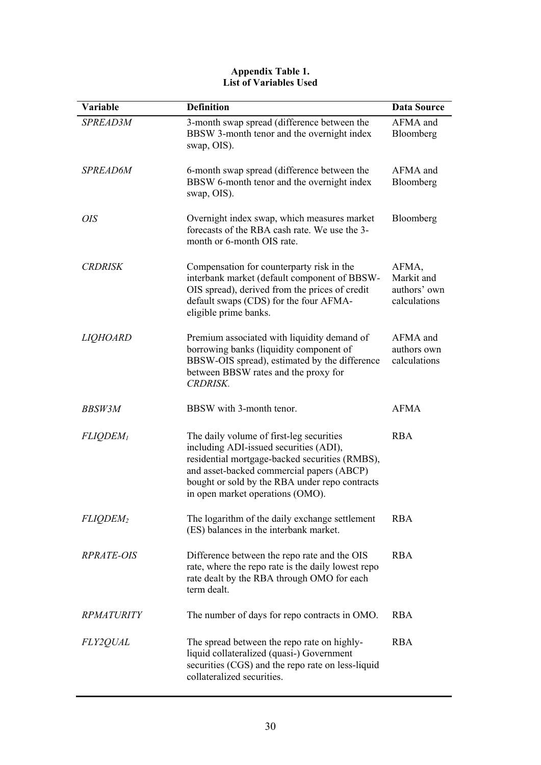# **Appendix Table 1. List of Variables Used**

| Variable             | <b>Definition</b>                                                                                                                                                                                                                                                       | <b>Data Source</b>                                  |
|----------------------|-------------------------------------------------------------------------------------------------------------------------------------------------------------------------------------------------------------------------------------------------------------------------|-----------------------------------------------------|
| SPREAD3M             | 3-month swap spread (difference between the<br>BBSW 3-month tenor and the overnight index<br>swap, OIS).                                                                                                                                                                | AFMA and<br>Bloomberg                               |
| <i>SPREAD6M</i>      | 6-month swap spread (difference between the<br>BBSW 6-month tenor and the overnight index<br>swap, OIS).                                                                                                                                                                | AFMA and<br>Bloomberg                               |
| <i>OIS</i>           | Overnight index swap, which measures market<br>forecasts of the RBA cash rate. We use the 3-<br>month or 6-month OIS rate.                                                                                                                                              | Bloomberg                                           |
| <b>CRDRISK</b>       | Compensation for counterparty risk in the<br>interbank market (default component of BBSW-<br>OIS spread), derived from the prices of credit<br>default swaps (CDS) for the four AFMA-<br>eligible prime banks.                                                          | AFMA,<br>Markit and<br>authors' own<br>calculations |
| <i>LIQHOARD</i>      | Premium associated with liquidity demand of<br>borrowing banks (liquidity component of<br>BBSW-OIS spread), estimated by the difference<br>between BBSW rates and the proxy for<br><b>CRDRISK.</b>                                                                      | AFMA and<br>authors own<br>calculations             |
| <b>BBSW3M</b>        | BBSW with 3-month tenor.                                                                                                                                                                                                                                                | AFMA                                                |
| <i>FLIQDEM1</i>      | The daily volume of first-leg securities<br>including ADI-issued securities (ADI),<br>residential mortgage-backed securities (RMBS),<br>and asset-backed commercial papers (ABCP)<br>bought or sold by the RBA under repo contracts<br>in open market operations (OMO). | <b>RBA</b>                                          |
| FLIQDEM <sub>2</sub> | The logarithm of the daily exchange settlement<br>(ES) balances in the interbank market.                                                                                                                                                                                | <b>RBA</b>                                          |
| <b>RPRATE-OIS</b>    | Difference between the repo rate and the OIS<br>rate, where the repo rate is the daily lowest repo<br>rate dealt by the RBA through OMO for each<br>term dealt.                                                                                                         | <b>RBA</b>                                          |
| <b>RPMATURITY</b>    | The number of days for repo contracts in OMO.                                                                                                                                                                                                                           | <b>RBA</b>                                          |
| <i>FLY2QUAL</i>      | The spread between the repo rate on highly-<br>liquid collateralized (quasi-) Government<br>securities (CGS) and the repo rate on less-liquid<br>collateralized securities.                                                                                             | <b>RBA</b>                                          |